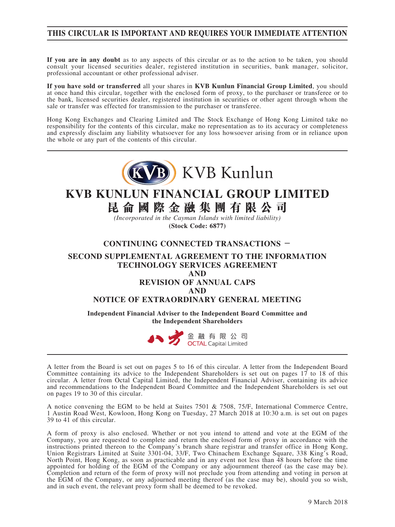#### **THIS CIRCULAR IS IMPORTANT AND REQUIRES YOUR IMMEDIATE ATTENTION**

**If you are in any doubt** as to any aspects of this circular or as to the action to be taken, you should consult your licensed securities dealer, registered institution in securities, bank manager, solicitor, professional accountant or other professional adviser.

**If you have sold or transferred** all your shares in **KVB Kunlun Financial Group Limited**, you should at once hand this circular, together with the enclosed form of proxy, to the purchaser or transferee or to the bank, licensed securities dealer, registered institution in securities or other agent through whom the sale or transfer was effected for transmission to the purchaser or transferee.

Hong Kong Exchanges and Clearing Limited and The Stock Exchange of Hong Kong Limited take no responsibility for the contents of this circular, make no representation as to its accuracy or completeness and expressly disclaim any liability whatsoever for any loss howsoever arising from or in reliance upon the whole or any part of the contents of this circular.



# **KVB KUNLUN FINANCIAL GROUP LIMITED 昆侖國際金融集團有限公司**

*(Incorporated in the Cayman Islands with limited liability)* **(Stock Code: 6877)**

#### **CONTINUING CONNECTED TRANSACTIONS -**

#### **SECOND SUPPLEMENTAL AGREEMENT TO THE INFORMATION TECHNOLOGY SERVICES AGREEMENT**

**AND**

#### **REVISION OF ANNUAL CAPS**

**AND**

#### **NOTICE OF EXTRAORDINARY GENERAL MEETING**

**Independent Financial Adviser to the Independent Board Committee and the Independent Shareholders**



A letter from the Board is set out on pages 5 to 16 of this circular. A letter from the Independent Board Committee containing its advice to the Independent Shareholders is set out on pages 17 to 18 of this circular. A letter from Octal Capital Limited, the Independent Financial Adviser, containing its advice and recommendations to the Independent Board Committee and the Independent Shareholders is set out on pages 19 to 30 of this circular.

A notice convening the EGM to be held at Suites 7501 & 7508, 75/F, International Commerce Centre, 1 Austin Road West, Kowloon, Hong Kong on Tuesday, 27 March 2018 at 10:30 a.m. is set out on pages 39 to 41 of this circular.

A form of proxy is also enclosed. Whether or not you intend to attend and vote at the EGM of the Company, you are requested to complete and return the enclosed form of proxy in accordance with the instructions printed thereon to the Company's branch share registrar and transfer office in Hong Kong, Union Registrars Limited at Suite 3301-04, 33/F, Two Chinachem Exchange Square, 338 King's Road, North Point, Hong Kong, as soon as practicable and in any event not less than 48 hours before the time appointed for holding of the EGM of the Company or any adjournment thereof (as the case may be). Completion and return of the form of proxy will not preclude you from attending and voting in person at the EGM of the Company, or any adjourned meeting thereof (as the case may be), should you so wish, and in such event, the relevant proxy form shall be deemed to be revoked.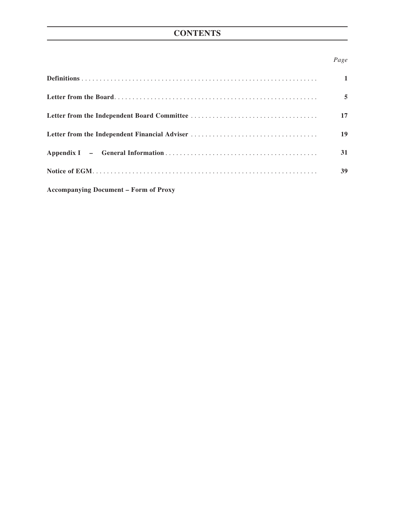## **CONTENTS**

#### *Page*

|                                              | $\mathbf{1}$ |
|----------------------------------------------|--------------|
|                                              | 5            |
|                                              | 17           |
|                                              | <b>19</b>    |
|                                              | 31           |
|                                              | 39           |
| <b>Accompanying Document - Form of Proxy</b> |              |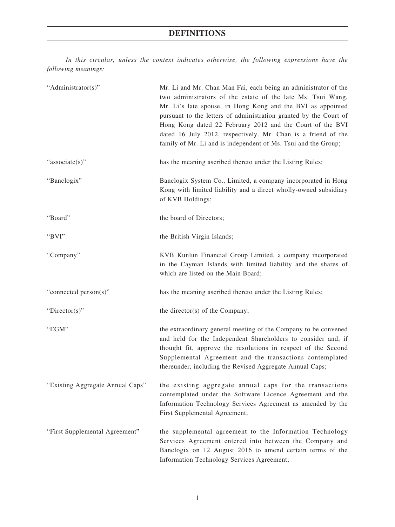*In this circular, unless the context indicates otherwise, the following expressions have the following meanings:*

| "Administrator(s)"               | Mr. Li and Mr. Chan Man Fai, each being an administrator of the<br>two administrators of the estate of the late Ms. Tsui Wang,<br>Mr. Li's late spouse, in Hong Kong and the BVI as appointed<br>pursuant to the letters of administration granted by the Court of<br>Hong Kong dated 22 February 2012 and the Court of the BVI<br>dated 16 July 2012, respectively. Mr. Chan is a friend of the<br>family of Mr. Li and is independent of Ms. Tsui and the Group; |
|----------------------------------|--------------------------------------------------------------------------------------------------------------------------------------------------------------------------------------------------------------------------------------------------------------------------------------------------------------------------------------------------------------------------------------------------------------------------------------------------------------------|
| "associate(s)"                   | has the meaning ascribed thereto under the Listing Rules;                                                                                                                                                                                                                                                                                                                                                                                                          |
| "Banclogix"                      | Banclogix System Co., Limited, a company incorporated in Hong<br>Kong with limited liability and a direct wholly-owned subsidiary<br>of KVB Holdings;                                                                                                                                                                                                                                                                                                              |
| "Board"                          | the board of Directors;                                                                                                                                                                                                                                                                                                                                                                                                                                            |
| "BVI"                            | the British Virgin Islands;                                                                                                                                                                                                                                                                                                                                                                                                                                        |
| "Company"                        | KVB Kunlun Financial Group Limited, a company incorporated<br>in the Cayman Islands with limited liability and the shares of<br>which are listed on the Main Board;                                                                                                                                                                                                                                                                                                |
| "connected person(s)"            | has the meaning ascribed thereto under the Listing Rules;                                                                                                                                                                                                                                                                                                                                                                                                          |
| "Director(s)"                    | the director(s) of the Company;                                                                                                                                                                                                                                                                                                                                                                                                                                    |
| "EGM"                            | the extraordinary general meeting of the Company to be convened<br>and held for the Independent Shareholders to consider and, if<br>thought fit, approve the resolutions in respect of the Second<br>Supplemental Agreement and the transactions contemplated<br>thereunder, including the Revised Aggregate Annual Caps;                                                                                                                                          |
| "Existing Aggregate Annual Caps" | the existing aggregate annual caps for the transactions<br>contemplated under the Software Licence Agreement and the<br>Information Technology Services Agreement as amended by the<br>First Supplemental Agreement;                                                                                                                                                                                                                                               |
| "First Supplemental Agreement"   | the supplemental agreement to the Information Technology<br>Services Agreement entered into between the Company and<br>Banclogix on 12 August 2016 to amend certain terms of the<br>Information Technology Services Agreement;                                                                                                                                                                                                                                     |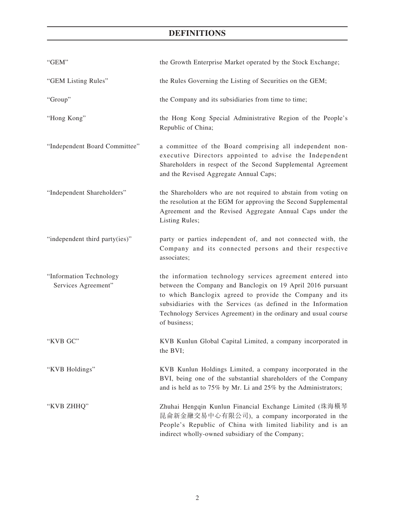## **DEFINITIONS**

| "GEM"                                          | the Growth Enterprise Market operated by the Stock Exchange;                                                                                                                                                                                                                                                                              |
|------------------------------------------------|-------------------------------------------------------------------------------------------------------------------------------------------------------------------------------------------------------------------------------------------------------------------------------------------------------------------------------------------|
| "GEM Listing Rules"                            | the Rules Governing the Listing of Securities on the GEM;                                                                                                                                                                                                                                                                                 |
| "Group"                                        | the Company and its subsidiaries from time to time;                                                                                                                                                                                                                                                                                       |
| "Hong Kong"                                    | the Hong Kong Special Administrative Region of the People's<br>Republic of China;                                                                                                                                                                                                                                                         |
| "Independent Board Committee"                  | a committee of the Board comprising all independent non-<br>executive Directors appointed to advise the Independent<br>Shareholders in respect of the Second Supplemental Agreement<br>and the Revised Aggregate Annual Caps;                                                                                                             |
| "Independent Shareholders"                     | the Shareholders who are not required to abstain from voting on<br>the resolution at the EGM for approving the Second Supplemental<br>Agreement and the Revised Aggregate Annual Caps under the<br>Listing Rules;                                                                                                                         |
| "independent third party(ies)"                 | party or parties independent of, and not connected with, the<br>Company and its connected persons and their respective<br>associates;                                                                                                                                                                                                     |
| "Information Technology<br>Services Agreement" | the information technology services agreement entered into<br>between the Company and Banclogix on 19 April 2016 pursuant<br>to which Banclogix agreed to provide the Company and its<br>subsidiaries with the Services (as defined in the Information<br>Technology Services Agreement) in the ordinary and usual course<br>of business; |
| "KVB GC"                                       | KVB Kunlun Global Capital Limited, a company incorporated in<br>the BVI;                                                                                                                                                                                                                                                                  |
| "KVB Holdings"                                 | KVB Kunlun Holdings Limited, a company incorporated in the<br>BVI, being one of the substantial shareholders of the Company<br>and is held as to 75% by Mr. Li and 25% by the Administrators;                                                                                                                                             |
| "KVB ZHHQ"                                     | Zhuhai Hengqin Kunlun Financial Exchange Limited (珠海橫琴<br>昆侖新金融交易中心有限公司), a company incorporated in the<br>People's Republic of China with limited liability and is an<br>indirect wholly-owned subsidiary of the Company;                                                                                                                |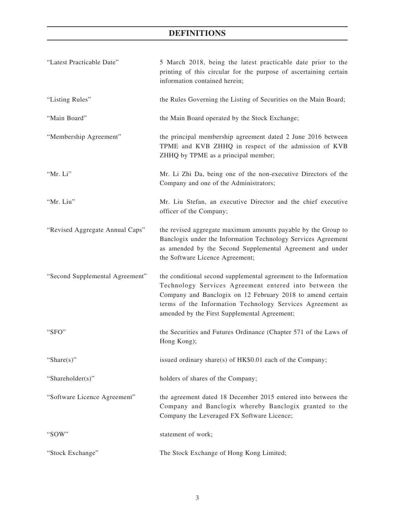# **DEFINITIONS**

| "Latest Practicable Date"       | 5 March 2018, being the latest practicable date prior to the<br>printing of this circular for the purpose of ascertaining certain<br>information contained herein;                                                                                                                                    |
|---------------------------------|-------------------------------------------------------------------------------------------------------------------------------------------------------------------------------------------------------------------------------------------------------------------------------------------------------|
| "Listing Rules"                 | the Rules Governing the Listing of Securities on the Main Board;                                                                                                                                                                                                                                      |
| "Main Board"                    | the Main Board operated by the Stock Exchange;                                                                                                                                                                                                                                                        |
| "Membership Agreement"          | the principal membership agreement dated 2 June 2016 between<br>TPME and KVB ZHHQ in respect of the admission of KVB<br>ZHHQ by TPME as a principal member;                                                                                                                                           |
| "Mr. Li"                        | Mr. Li Zhi Da, being one of the non-executive Directors of the<br>Company and one of the Administrators;                                                                                                                                                                                              |
| "Mr. Liu"                       | Mr. Liu Stefan, an executive Director and the chief executive<br>officer of the Company;                                                                                                                                                                                                              |
| "Revised Aggregate Annual Caps" | the revised aggregate maximum amounts payable by the Group to<br>Banclogix under the Information Technology Services Agreement<br>as amended by the Second Supplemental Agreement and under<br>the Software Licence Agreement;                                                                        |
| "Second Supplemental Agreement" | the conditional second supplemental agreement to the Information<br>Technology Services Agreement entered into between the<br>Company and Banclogix on 12 February 2018 to amend certain<br>terms of the Information Technology Services Agreement as<br>amended by the First Supplemental Agreement; |
| "SFO"                           | the Securities and Futures Ordinance (Chapter 571 of the Laws of<br>Hong Kong);                                                                                                                                                                                                                       |
| 'Share $(s)$ "                  | issued ordinary share(s) of HK\$0.01 each of the Company;                                                                                                                                                                                                                                             |
| "Shareholder(s)"                | holders of shares of the Company;                                                                                                                                                                                                                                                                     |
| "Software Licence Agreement"    | the agreement dated 18 December 2015 entered into between the<br>Company and Banclogix whereby Banclogix granted to the<br>Company the Leveraged FX Software Licence;                                                                                                                                 |
| "SOW"                           | statement of work;                                                                                                                                                                                                                                                                                    |
| "Stock Exchange"                | The Stock Exchange of Hong Kong Limited;                                                                                                                                                                                                                                                              |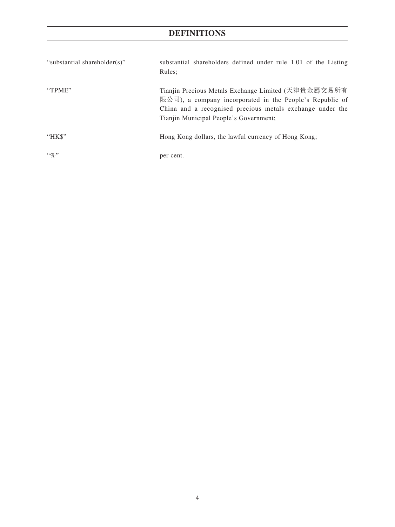# **DEFINITIONS**

| "substantial shareholder(s)" | substantial shareholders defined under rule 1.01 of the Listing<br>Rules:                                                                                                                                              |
|------------------------------|------------------------------------------------------------------------------------------------------------------------------------------------------------------------------------------------------------------------|
| "TPME"                       | Tianjin Precious Metals Exchange Limited (天津貴金屬交易所有<br>限公司), a company incorporated in the People's Republic of<br>China and a recognised precious metals exchange under the<br>Tianjin Municipal People's Government; |
| "HK\$"                       | Hong Kong dollars, the lawful currency of Hong Kong;                                                                                                                                                                   |
| $\lq\lq q_0$ "               | per cent.                                                                                                                                                                                                              |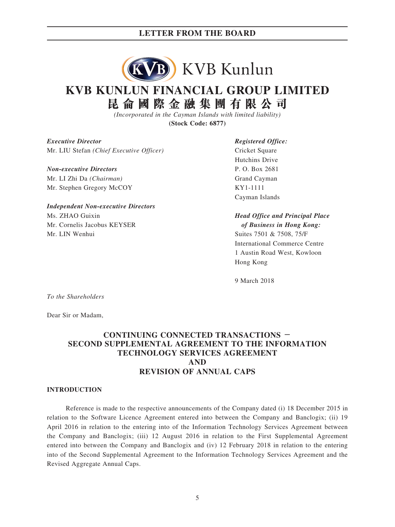

## **KVB KUNLUN FINANCIAL GROUP LIMITED 昆侖國際金融集團有限公司**

*(Incorporated in the Cayman Islands with limited liability)*

**(Stock Code: 6877)**

*Executive Director Registered Office:* Mr. LIU Stefan *(Chief Executive Officer)* Cricket Square

*Non-executive Directors* P. O. Box 2681 Mr. LI Zhi Da *(Chairman)* Grand Cayman Mr. Stephen Gregory McCOY KY1-1111

*Independent Non-executive Directors* Ms. ZHAO Guixin *Head Office and Principal Place* Mr. Cornelis Jacobus KEYSER *of Business in Hong Kong:* Mr. LIN Wenhui Suites 7501 & 7508, 75/F

Hutchins Drive Cayman Islands

International Commerce Centre 1 Austin Road West, Kowloon Hong Kong

9 March 2018

*To the Shareholders*

Dear Sir or Madam,

#### **CONTINUING CONNECTED TRANSACTIONS - SECOND SUPPLEMENTAL AGREEMENT TO THE INFORMATION TECHNOLOGY SERVICES AGREEMENT AND REVISION OF ANNUAL CAPS**

#### **INTRODUCTION**

Reference is made to the respective announcements of the Company dated (i) 18 December 2015 in relation to the Software Licence Agreement entered into between the Company and Banclogix; (ii) 19 April 2016 in relation to the entering into of the Information Technology Services Agreement between the Company and Banclogix; (iii) 12 August 2016 in relation to the First Supplemental Agreement entered into between the Company and Banclogix and (iv) 12 February 2018 in relation to the entering into of the Second Supplemental Agreement to the Information Technology Services Agreement and the Revised Aggregate Annual Caps.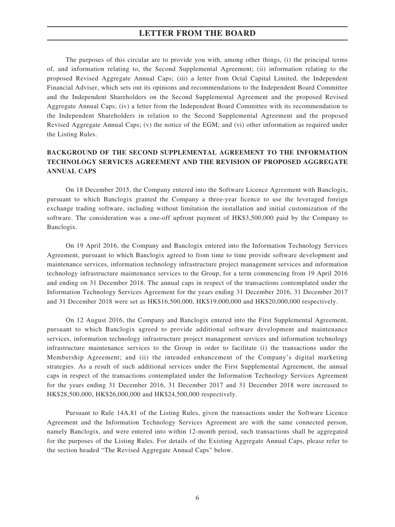The purposes of this circular are to provide you with, among other things, (i) the principal terms of, and information relating to, the Second Supplemental Agreement; (ii) information relating to the proposed Revised Aggregate Annual Caps; (iii) a letter from Octal Capital Limited, the Independent Financial Adviser, which sets out its opinions and recommendations to the Independent Board Committee and the Independent Shareholders on the Second Supplemental Agreement and the proposed Revised Aggregate Annual Caps; (iv) a letter from the Independent Board Committee with its recommendation to the Independent Shareholders in relation to the Second Supplemental Agreement and the proposed Revised Aggregate Annual Caps; (v) the notice of the EGM; and (vi) other information as required under the Listing Rules.

#### **BACKGROUND OF THE SECOND SUPPLEMENTAL AGREEMENT TO THE INFORMATION TECHNOLOGY SERVICES AGREEMENT AND THE REVISION OF PROPOSED AGGREGATE ANNUAL CAPS**

On 18 December 2015, the Company entered into the Software Licence Agreement with Banclogix, pursuant to which Banclogix granted the Company a three-year licence to use the leveraged foreign exchange trading software, including without limitation the installation and initial customization of the software. The consideration was a one-off upfront payment of HK\$3,500,000 paid by the Company to Banclogix.

On 19 April 2016, the Company and Banclogix entered into the Information Technology Services Agreement, pursuant to which Banclogix agreed to from time to time provide software development and maintenance services, information technology infrastructure project management services and information technology infrastructure maintenance services to the Group, for a term commencing from 19 April 2016 and ending on 31 December 2018. The annual caps in respect of the transactions contemplated under the Information Technology Services Agreement for the years ending 31 December 2016, 31 December 2017 and 31 December 2018 were set as HK\$16,500,000, HK\$19,000,000 and HK\$20,000,000 respectively.

On 12 August 2016, the Company and Banclogix entered into the First Supplemental Agreement, pursuant to which Banclogix agreed to provide additional software development and maintenance services, information technology infrastructure project management services and information technology infrastructure maintenance services to the Group in order to facilitate (i) the transactions under the Membership Agreement; and (ii) the intended enhancement of the Company's digital marketing strategies. As a result of such additional services under the First Supplemental Agreement, the annual caps in respect of the transactions contemplated under the Information Technology Services Agreement for the years ending 31 December 2016, 31 December 2017 and 31 December 2018 were increased to HK\$28,500,000, HK\$26,000,000 and HK\$24,500,000 respectively.

Pursuant to Rule 14A.81 of the Listing Rules, given the transactions under the Software Licence Agreement and the Information Technology Services Agreement are with the same connected person, namely Banclogix, and were entered into within 12-month period, such transactions shall be aggregated for the purposes of the Listing Rules. For details of the Existing Aggregate Annual Caps, please refer to the section headed "The Revised Aggregate Annual Caps" below.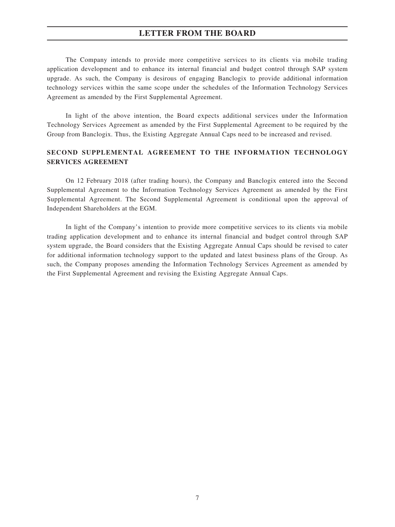The Company intends to provide more competitive services to its clients via mobile trading application development and to enhance its internal financial and budget control through SAP system upgrade. As such, the Company is desirous of engaging Banclogix to provide additional information technology services within the same scope under the schedules of the Information Technology Services Agreement as amended by the First Supplemental Agreement.

In light of the above intention, the Board expects additional services under the Information Technology Services Agreement as amended by the First Supplemental Agreement to be required by the Group from Banclogix. Thus, the Existing Aggregate Annual Caps need to be increased and revised.

#### **SECOND SUPPLEMENTAL AGREEMENT TO THE INFORMATION TECHNOLOGY SERVICES AGREEMENT**

On 12 February 2018 (after trading hours), the Company and Banclogix entered into the Second Supplemental Agreement to the Information Technology Services Agreement as amended by the First Supplemental Agreement. The Second Supplemental Agreement is conditional upon the approval of Independent Shareholders at the EGM.

In light of the Company's intention to provide more competitive services to its clients via mobile trading application development and to enhance its internal financial and budget control through SAP system upgrade, the Board considers that the Existing Aggregate Annual Caps should be revised to cater for additional information technology support to the updated and latest business plans of the Group. As such, the Company proposes amending the Information Technology Services Agreement as amended by the First Supplemental Agreement and revising the Existing Aggregate Annual Caps.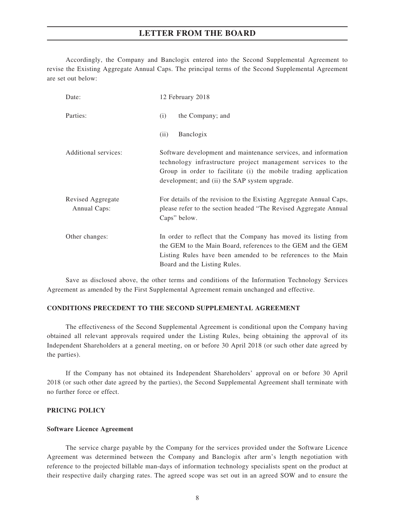Accordingly, the Company and Banclogix entered into the Second Supplemental Agreement to revise the Existing Aggregate Annual Caps. The principal terms of the Second Supplemental Agreement are set out below:

| Date:                             | 12 February 2018                                                                                                                                                                                                                                   |  |  |  |
|-----------------------------------|----------------------------------------------------------------------------------------------------------------------------------------------------------------------------------------------------------------------------------------------------|--|--|--|
| Parties:                          | the Company; and<br>(i)                                                                                                                                                                                                                            |  |  |  |
|                                   | Banclogix<br>(ii)                                                                                                                                                                                                                                  |  |  |  |
| Additional services:              | Software development and maintenance services, and information<br>technology infrastructure project management services to the<br>Group in order to facilitate (i) the mobile trading application<br>development; and (ii) the SAP system upgrade. |  |  |  |
| Revised Aggregate<br>Annual Caps: | For details of the revision to the Existing Aggregate Annual Caps,<br>please refer to the section headed "The Revised Aggregate Annual<br>Caps" below.                                                                                             |  |  |  |
| Other changes:                    | In order to reflect that the Company has moved its listing from<br>the GEM to the Main Board, references to the GEM and the GEM<br>Listing Rules have been amended to be references to the Main<br>Board and the Listing Rules.                    |  |  |  |

Save as disclosed above, the other terms and conditions of the Information Technology Services Agreement as amended by the First Supplemental Agreement remain unchanged and effective.

#### **CONDITIONS PRECEDENT TO THE SECOND SUPPLEMENTAL AGREEMENT**

The effectiveness of the Second Supplemental Agreement is conditional upon the Company having obtained all relevant approvals required under the Listing Rules, being obtaining the approval of its Independent Shareholders at a general meeting, on or before 30 April 2018 (or such other date agreed by the parties).

If the Company has not obtained its Independent Shareholders' approval on or before 30 April 2018 (or such other date agreed by the parties), the Second Supplemental Agreement shall terminate with no further force or effect.

#### **PRICING POLICY**

#### **Software Licence Agreement**

The service charge payable by the Company for the services provided under the Software Licence Agreement was determined between the Company and Banclogix after arm's length negotiation with reference to the projected billable man-days of information technology specialists spent on the product at their respective daily charging rates. The agreed scope was set out in an agreed SOW and to ensure the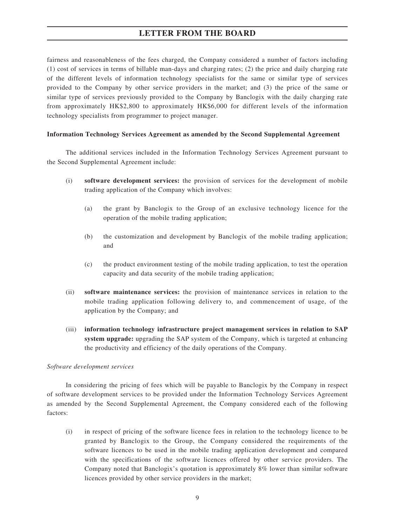fairness and reasonableness of the fees charged, the Company considered a number of factors including (1) cost of services in terms of billable man-days and charging rates; (2) the price and daily charging rate of the different levels of information technology specialists for the same or similar type of services provided to the Company by other service providers in the market; and (3) the price of the same or similar type of services previously provided to the Company by Banclogix with the daily charging rate from approximately HK\$2,800 to approximately HK\$6,000 for different levels of the information technology specialists from programmer to project manager.

#### **Information Technology Services Agreement as amended by the Second Supplemental Agreement**

The additional services included in the Information Technology Services Agreement pursuant to the Second Supplemental Agreement include:

- (i) **software development services:** the provision of services for the development of mobile trading application of the Company which involves:
	- (a) the grant by Banclogix to the Group of an exclusive technology licence for the operation of the mobile trading application;
	- (b) the customization and development by Banclogix of the mobile trading application; and
	- (c) the product environment testing of the mobile trading application, to test the operation capacity and data security of the mobile trading application;
- (ii) **software maintenance services:** the provision of maintenance services in relation to the mobile trading application following delivery to, and commencement of usage, of the application by the Company; and
- (iii) **information technology infrastructure project management services in relation to SAP system upgrade:** upgrading the SAP system of the Company, which is targeted at enhancing the productivity and efficiency of the daily operations of the Company.

#### *Software development services*

In considering the pricing of fees which will be payable to Banclogix by the Company in respect of software development services to be provided under the Information Technology Services Agreement as amended by the Second Supplemental Agreement, the Company considered each of the following factors:

(i) in respect of pricing of the software licence fees in relation to the technology licence to be granted by Banclogix to the Group, the Company considered the requirements of the software licences to be used in the mobile trading application development and compared with the specifications of the software licences offered by other service providers. The Company noted that Banclogix's quotation is approximately 8% lower than similar software licences provided by other service providers in the market;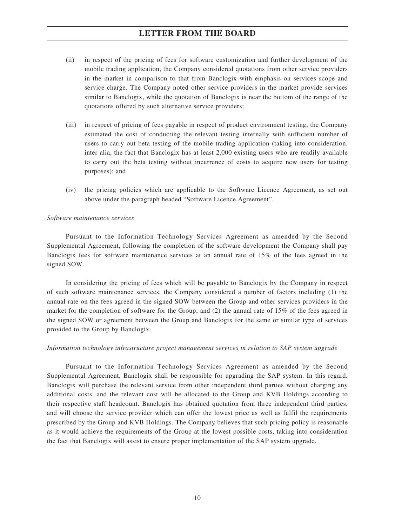- (ii) in respect of the pricing of fees for software customization and further development of the mobile trading application, the Company considered quotations from other service providers in the market in comparison to that from Banclogix with emphasis on services scope and service charge. The Company noted other service providers in the market provide services similar to Banclogix, while the quotation of Banclogix is near the bottom of the range of the quotations offered by such alternative service providers;
- (iii) in respect of pricing of fees payable in respect of product environment testing, the Company estimated the cost of conducting the relevant testing internally with sufficient number of users to carry out beta testing of the mobile trading application (taking into consideration, inter alia, the fact that Banclogix has at least 2,000 existing users who are readily available to carry out the beta testing without incurrence of costs to acquire new users for testing purposes); and
- (iv) the pricing policies which are applicable to the Software Licence Agreement, as set out above under the paragraph headed "Software Licence Agreement".

#### *Software maintenance services*

Pursuant to the Information Technology Services Agreement as amended by the Second Supplemental Agreement, following the completion of the software development the Company shall pay Banclogix fees for software maintenance services at an annual rate of 15% of the fees agreed in the signed SOW.

In considering the pricing of fees which will be payable to Banclogix by the Company in respect of such software maintenance services, the Company considered a number of factors including (1) the annual rate on the fees agreed in the signed SOW between the Group and other services providers in the market for the completion of software for the Group; and (2) the annual rate of 15% of the fees agreed in the signed SOW or agreement between the Group and Banclogix for the same or similar type of services provided to the Group by Banclogix.

#### *Information technology infrastructure project management services in relation to SAP system upgrade*

Pursuant to the Information Technology Services Agreement as amended by the Second Supplemental Agreement, Banclogix shall be responsible for upgrading the SAP system. In this regard, Banclogix will purchase the relevant service from other independent third parties without charging any additional costs, and the relevant cost will be allocated to the Group and KVB Holdings according to their respective staff headcount. Banclogix has obtained quotation from three independent third parties, and will choose the service provider which can offer the lowest price as well as fulfil the requirements prescribed by the Group and KVB Holdings. The Company believes that such pricing policy is reasonable as it would achieve the requirements of the Group at the lowest possible costs, taking into consideration the fact that Banclogix will assist to ensure proper implementation of the SAP system upgrade.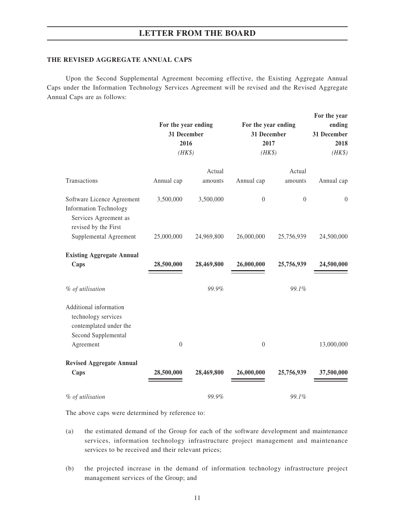#### **THE REVISED AGGREGATE ANNUAL CAPS**

Upon the Second Supplemental Agreement becoming effective, the Existing Aggregate Annual Caps under the Information Technology Services Agreement will be revised and the Revised Aggregate Annual Caps are as follows:

|                                                                                                              | For the year ending<br>31 December<br>2016<br>$(HK\$ |            | For the year ending<br>31 December<br>2017<br>$(HK\$ |                  |                | For the year<br>ending<br>31 December<br>2018<br>$(HK\$ |  |
|--------------------------------------------------------------------------------------------------------------|------------------------------------------------------|------------|------------------------------------------------------|------------------|----------------|---------------------------------------------------------|--|
|                                                                                                              |                                                      | Actual     |                                                      | Actual           |                |                                                         |  |
| Transactions                                                                                                 | Annual cap                                           | amounts    | Annual cap                                           | amounts          | Annual cap     |                                                         |  |
| Software Licence Agreement<br><b>Information Technology</b><br>Services Agreement as<br>revised by the First | 3,500,000                                            | 3,500,000  | $\theta$                                             | $\boldsymbol{0}$ | $\overline{0}$ |                                                         |  |
| Supplemental Agreement                                                                                       | 25,000,000                                           | 24,969,800 | 26,000,000                                           | 25,756,939       | 24,500,000     |                                                         |  |
| <b>Existing Aggregate Annual</b><br>Caps                                                                     | 28,500,000                                           | 28,469,800 | 26,000,000                                           | 25,756,939       | 24,500,000     |                                                         |  |
| % of utilisation                                                                                             |                                                      | 99.9%      |                                                      | 99.1%            |                |                                                         |  |
| Additional information<br>technology services<br>contemplated under the<br>Second Supplemental<br>Agreement  | $\boldsymbol{0}$                                     |            | $\boldsymbol{0}$                                     |                  | 13,000,000     |                                                         |  |
| <b>Revised Aggregate Annual</b>                                                                              |                                                      |            |                                                      |                  |                |                                                         |  |
| Caps                                                                                                         | 28,500,000                                           | 28,469,800 | 26,000,000                                           | 25,756,939       | 37,500,000     |                                                         |  |
| % of utilisation                                                                                             |                                                      | 99.9%      |                                                      | 99.1%            |                |                                                         |  |

The above caps were determined by reference to:

- (a) the estimated demand of the Group for each of the software development and maintenance services, information technology infrastructure project management and maintenance services to be received and their relevant prices;
- (b) the projected increase in the demand of information technology infrastructure project management services of the Group; and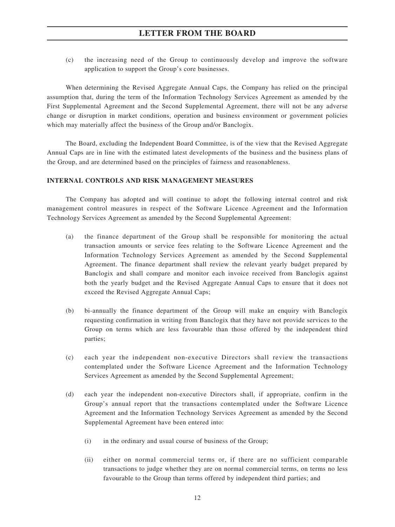(c) the increasing need of the Group to continuously develop and improve the software application to support the Group's core businesses.

When determining the Revised Aggregate Annual Caps, the Company has relied on the principal assumption that, during the term of the Information Technology Services Agreement as amended by the First Supplemental Agreement and the Second Supplemental Agreement, there will not be any adverse change or disruption in market conditions, operation and business environment or government policies which may materially affect the business of the Group and/or Banclogix.

The Board, excluding the Independent Board Committee, is of the view that the Revised Aggregate Annual Caps are in line with the estimated latest developments of the business and the business plans of the Group, and are determined based on the principles of fairness and reasonableness.

#### **INTERNAL CONTROLS AND RISK MANAGEMENT MEASURES**

The Company has adopted and will continue to adopt the following internal control and risk management control measures in respect of the Software Licence Agreement and the Information Technology Services Agreement as amended by the Second Supplemental Agreement:

- (a) the finance department of the Group shall be responsible for monitoring the actual transaction amounts or service fees relating to the Software Licence Agreement and the Information Technology Services Agreement as amended by the Second Supplemental Agreement. The finance department shall review the relevant yearly budget prepared by Banclogix and shall compare and monitor each invoice received from Banclogix against both the yearly budget and the Revised Aggregate Annual Caps to ensure that it does not exceed the Revised Aggregate Annual Caps;
- (b) bi-annually the finance department of the Group will make an enquiry with Banclogix requesting confirmation in writing from Banclogix that they have not provide services to the Group on terms which are less favourable than those offered by the independent third parties;
- (c) each year the independent non-executive Directors shall review the transactions contemplated under the Software Licence Agreement and the Information Technology Services Agreement as amended by the Second Supplemental Agreement;
- (d) each year the independent non-executive Directors shall, if appropriate, confirm in the Group's annual report that the transactions contemplated under the Software Licence Agreement and the Information Technology Services Agreement as amended by the Second Supplemental Agreement have been entered into:
	- (i) in the ordinary and usual course of business of the Group;
	- (ii) either on normal commercial terms or, if there are no sufficient comparable transactions to judge whether they are on normal commercial terms, on terms no less favourable to the Group than terms offered by independent third parties; and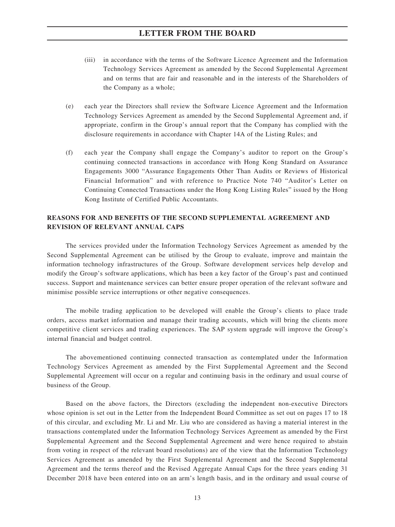- (iii) in accordance with the terms of the Software Licence Agreement and the Information Technology Services Agreement as amended by the Second Supplemental Agreement and on terms that are fair and reasonable and in the interests of the Shareholders of the Company as a whole;
- (e) each year the Directors shall review the Software Licence Agreement and the Information Technology Services Agreement as amended by the Second Supplemental Agreement and, if appropriate, confirm in the Group's annual report that the Company has complied with the disclosure requirements in accordance with Chapter 14A of the Listing Rules; and
- (f) each year the Company shall engage the Company's auditor to report on the Group's continuing connected transactions in accordance with Hong Kong Standard on Assurance Engagements 3000 "Assurance Engagements Other Than Audits or Reviews of Historical Financial Information" and with reference to Practice Note 740 "Auditor's Letter on Continuing Connected Transactions under the Hong Kong Listing Rules" issued by the Hong Kong Institute of Certified Public Accountants.

#### **REASONS FOR AND BENEFITS OF THE SECOND SUPPLEMENTAL AGREEMENT AND REVISION OF RELEVANT ANNUAL CAPS**

The services provided under the Information Technology Services Agreement as amended by the Second Supplemental Agreement can be utilised by the Group to evaluate, improve and maintain the information technology infrastructures of the Group. Software development services help develop and modify the Group's software applications, which has been a key factor of the Group's past and continued success. Support and maintenance services can better ensure proper operation of the relevant software and minimise possible service interruptions or other negative consequences.

The mobile trading application to be developed will enable the Group's clients to place trade orders, access market information and manage their trading accounts, which will bring the clients more competitive client services and trading experiences. The SAP system upgrade will improve the Group's internal financial and budget control.

The abovementioned continuing connected transaction as contemplated under the Information Technology Services Agreement as amended by the First Supplemental Agreement and the Second Supplemental Agreement will occur on a regular and continuing basis in the ordinary and usual course of business of the Group.

Based on the above factors, the Directors (excluding the independent non-executive Directors whose opinion is set out in the Letter from the Independent Board Committee as set out on pages 17 to 18 of this circular, and excluding Mr. Li and Mr. Liu who are considered as having a material interest in the transactions contemplated under the Information Technology Services Agreement as amended by the First Supplemental Agreement and the Second Supplemental Agreement and were hence required to abstain from voting in respect of the relevant board resolutions) are of the view that the Information Technology Services Agreement as amended by the First Supplemental Agreement and the Second Supplemental Agreement and the terms thereof and the Revised Aggregate Annual Caps for the three years ending 31 December 2018 have been entered into on an arm's length basis, and in the ordinary and usual course of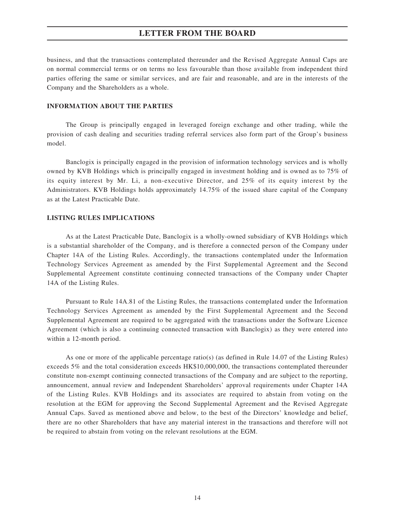business, and that the transactions contemplated thereunder and the Revised Aggregate Annual Caps are on normal commercial terms or on terms no less favourable than those available from independent third parties offering the same or similar services, and are fair and reasonable, and are in the interests of the Company and the Shareholders as a whole.

#### **INFORMATION ABOUT THE PARTIES**

The Group is principally engaged in leveraged foreign exchange and other trading, while the provision of cash dealing and securities trading referral services also form part of the Group's business model.

Banclogix is principally engaged in the provision of information technology services and is wholly owned by KVB Holdings which is principally engaged in investment holding and is owned as to 75% of its equity interest by Mr. Li, a non-executive Director, and 25% of its equity interest by the Administrators. KVB Holdings holds approximately 14.75% of the issued share capital of the Company as at the Latest Practicable Date.

#### **LISTING RULES IMPLICATIONS**

As at the Latest Practicable Date, Banclogix is a wholly-owned subsidiary of KVB Holdings which is a substantial shareholder of the Company, and is therefore a connected person of the Company under Chapter 14A of the Listing Rules. Accordingly, the transactions contemplated under the Information Technology Services Agreement as amended by the First Supplemental Agreement and the Second Supplemental Agreement constitute continuing connected transactions of the Company under Chapter 14A of the Listing Rules.

Pursuant to Rule 14A.81 of the Listing Rules, the transactions contemplated under the Information Technology Services Agreement as amended by the First Supplemental Agreement and the Second Supplemental Agreement are required to be aggregated with the transactions under the Software Licence Agreement (which is also a continuing connected transaction with Banclogix) as they were entered into within a 12-month period.

As one or more of the applicable percentage ratio(s) (as defined in Rule 14.07 of the Listing Rules) exceeds 5% and the total consideration exceeds HK\$10,000,000, the transactions contemplated thereunder constitute non-exempt continuing connected transactions of the Company and are subject to the reporting, announcement, annual review and Independent Shareholders' approval requirements under Chapter 14A of the Listing Rules. KVB Holdings and its associates are required to abstain from voting on the resolution at the EGM for approving the Second Supplemental Agreement and the Revised Aggregate Annual Caps. Saved as mentioned above and below, to the best of the Directors' knowledge and belief, there are no other Shareholders that have any material interest in the transactions and therefore will not be required to abstain from voting on the relevant resolutions at the EGM.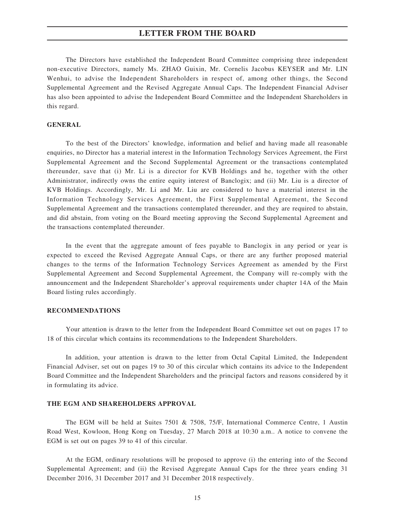The Directors have established the Independent Board Committee comprising three independent non-executive Directors, namely Ms. ZHAO Guixin, Mr. Cornelis Jacobus KEYSER and Mr. LIN Wenhui, to advise the Independent Shareholders in respect of, among other things, the Second Supplemental Agreement and the Revised Aggregate Annual Caps. The Independent Financial Adviser has also been appointed to advise the Independent Board Committee and the Independent Shareholders in this regard.

#### **GENERAL**

To the best of the Directors' knowledge, information and belief and having made all reasonable enquiries, no Director has a material interest in the Information Technology Services Agreement, the First Supplemental Agreement and the Second Supplemental Agreement or the transactions contemplated thereunder, save that (i) Mr. Li is a director for KVB Holdings and he, together with the other Administrator, indirectly owns the entire equity interest of Banclogix; and (ii) Mr. Liu is a director of KVB Holdings. Accordingly, Mr. Li and Mr. Liu are considered to have a material interest in the Information Technology Services Agreement, the First Supplemental Agreement, the Second Supplemental Agreement and the transactions contemplated thereunder, and they are required to abstain, and did abstain, from voting on the Board meeting approving the Second Supplemental Agreement and the transactions contemplated thereunder.

In the event that the aggregate amount of fees payable to Banclogix in any period or year is expected to exceed the Revised Aggregate Annual Caps, or there are any further proposed material changes to the terms of the Information Technology Services Agreement as amended by the First Supplemental Agreement and Second Supplemental Agreement, the Company will re-comply with the announcement and the Independent Shareholder's approval requirements under chapter 14A of the Main Board listing rules accordingly.

#### **RECOMMENDATIONS**

Your attention is drawn to the letter from the Independent Board Committee set out on pages 17 to 18 of this circular which contains its recommendations to the Independent Shareholders.

In addition, your attention is drawn to the letter from Octal Capital Limited, the Independent Financial Adviser, set out on pages 19 to 30 of this circular which contains its advice to the Independent Board Committee and the Independent Shareholders and the principal factors and reasons considered by it in formulating its advice.

#### **THE EGM AND SHAREHOLDERS APPROVAL**

The EGM will be held at Suites 7501 & 7508, 75/F, International Commerce Centre, 1 Austin Road West, Kowloon, Hong Kong on Tuesday, 27 March 2018 at 10:30 a.m.. A notice to convene the EGM is set out on pages 39 to 41 of this circular.

At the EGM, ordinary resolutions will be proposed to approve (i) the entering into of the Second Supplemental Agreement; and (ii) the Revised Aggregate Annual Caps for the three years ending 31 December 2016, 31 December 2017 and 31 December 2018 respectively.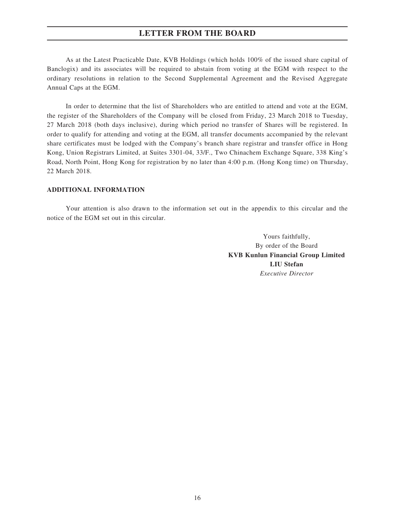As at the Latest Practicable Date, KVB Holdings (which holds 100% of the issued share capital of Banclogix) and its associates will be required to abstain from voting at the EGM with respect to the ordinary resolutions in relation to the Second Supplemental Agreement and the Revised Aggregate Annual Caps at the EGM.

In order to determine that the list of Shareholders who are entitled to attend and vote at the EGM, the register of the Shareholders of the Company will be closed from Friday, 23 March 2018 to Tuesday, 27 March 2018 (both days inclusive), during which period no transfer of Shares will be registered. In order to qualify for attending and voting at the EGM, all transfer documents accompanied by the relevant share certificates must be lodged with the Company's branch share registrar and transfer office in Hong Kong, Union Registrars Limited, at Suites 3301-04, 33/F., Two Chinachem Exchange Square, 338 King's Road, North Point, Hong Kong for registration by no later than 4:00 p.m. (Hong Kong time) on Thursday, 22 March 2018.

#### **ADDITIONAL INFORMATION**

Your attention is also drawn to the information set out in the appendix to this circular and the notice of the EGM set out in this circular.

> Yours faithfully, By order of the Board **KVB Kunlun Financial Group Limited LIU Stefan** *Executive Director*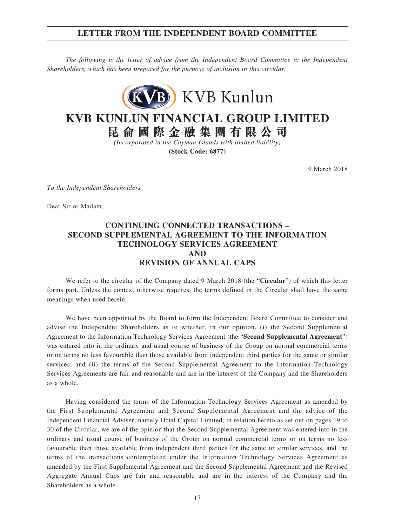#### **LETTER FROM THE INDEPENDENT BOARD COMMITTEE**

*The following is the letter of advice from the Independent Board Committee to the Independent Shareholders, which has been prepared for the purpose of inclusion in this circular.*



# **KVB KUNLUN FINANCIAL GROUP LIMITED**

**昆侖國際金融集團有限公司**

*(Incorporated in the Cayman Islands with limited liability)* **(Stock Code: 6877)**

9 March 2018

*To the Independent Shareholders*

Dear Sir or Madam,

#### **CONTINUING CONNECTED TRANSACTIONS – SECOND SUPPLEMENTAL AGREEMENT TO THE INFORMATION TECHNOLOGY SERVICES AGREEMENT AND REVISION OF ANNUAL CAPS**

We refer to the circular of the Company dated 9 March 2018 (the "**Circular**") of which this letter forms part. Unless the context otherwise requires, the terms defined in the Circular shall have the same meanings when used herein.

We have been appointed by the Board to form the Independent Board Committee to consider and advise the Independent Shareholders as to whether, in our opinion, (i) the Second Supplemental Agreement to the Information Technology Services Agreement (the "**Second Supplemental Agreement**") was entered into in the ordinary and usual course of business of the Group on normal commercial terms or on terms no less favourable than those available from independent third parties for the same or similar services; and (ii) the terms of the Second Supplemental Agreement to the Information Technology Services Agreements are fair and reasonable and are in the interest of the Company and the Shareholders as a whole.

Having considered the terms of the Information Technology Services Agreement as amended by the First Supplemental Agreement and Second Supplemental Agreement and the advice of the Independent Financial Adviser, namely Octal Capital Limited, in relation hereto as set out on pages 19 to 30 of the Circular, we are of the opinion that the Second Supplemental Agreement was entered into in the ordinary and usual course of business of the Group on normal commercial terms or on terms no less favourable than those available from independent third parties for the same or similar services, and the terms of the transactions contemplated under the Information Technology Services Agreement as amended by the First Supplemental Agreement and the Second Supplemental Agreement and the Revised Aggregate Annual Caps are fair and reasonable and are in the interest of the Company and the Shareholders as a whole.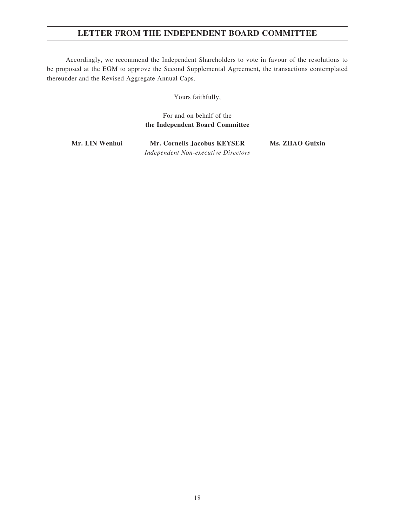## **LETTER FROM THE INDEPENDENT BOARD COMMITTEE**

Accordingly, we recommend the Independent Shareholders to vote in favour of the resolutions to be proposed at the EGM to approve the Second Supplemental Agreement, the transactions contemplated thereunder and the Revised Aggregate Annual Caps.

Yours faithfully,

#### For and on behalf of the **the Independent Board Committee**

**Mr. LIN Wenhui Mr. Cornelis Jacobus KEYSER Ms. ZHAO Guixin** *Independent Non-executive Directors*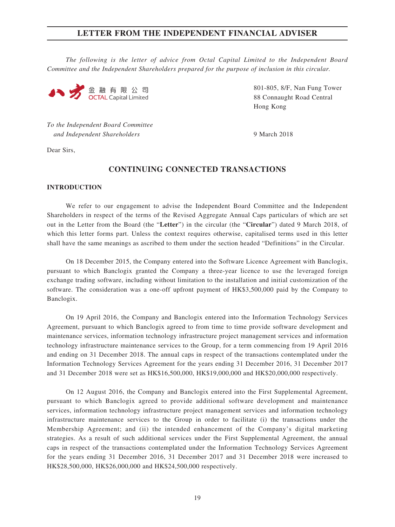*The following is the letter of advice from Octal Capital Limited to the Independent Board Committee and the Independent Shareholders prepared for the purpose of inclusion in this circular.*



801-805, 8/F, Nan Fung Tower 88 Connaught Road Central Hong Kong

*To the Independent Board Committee and Independent Shareholders* 9 March 2018

Dear Sirs,

#### **CONTINUING CONNECTED TRANSACTIONS**

#### **INTRODUCTION**

We refer to our engagement to advise the Independent Board Committee and the Independent Shareholders in respect of the terms of the Revised Aggregate Annual Caps particulars of which are set out in the Letter from the Board (the "**Letter**") in the circular (the "**Circular**") dated 9 March 2018, of which this letter forms part. Unless the context requires otherwise, capitalised terms used in this letter shall have the same meanings as ascribed to them under the section headed "Definitions" in the Circular.

On 18 December 2015, the Company entered into the Software Licence Agreement with Banclogix, pursuant to which Banclogix granted the Company a three-year licence to use the leveraged foreign exchange trading software, including without limitation to the installation and initial customization of the software. The consideration was a one-off upfront payment of HK\$3,500,000 paid by the Company to Banclogix.

On 19 April 2016, the Company and Banclogix entered into the Information Technology Services Agreement, pursuant to which Banclogix agreed to from time to time provide software development and maintenance services, information technology infrastructure project management services and information technology infrastructure maintenance services to the Group, for a term commencing from 19 April 2016 and ending on 31 December 2018. The annual caps in respect of the transactions contemplated under the Information Technology Services Agreement for the years ending 31 December 2016, 31 December 2017 and 31 December 2018 were set as HK\$16,500,000, HK\$19,000,000 and HK\$20,000,000 respectively.

On 12 August 2016, the Company and Banclogix entered into the First Supplemental Agreement, pursuant to which Banclogix agreed to provide additional software development and maintenance services, information technology infrastructure project management services and information technology infrastructure maintenance services to the Group in order to facilitate (i) the transactions under the Membership Agreement; and (ii) the intended enhancement of the Company's digital marketing strategies. As a result of such additional services under the First Supplemental Agreement, the annual caps in respect of the transactions contemplated under the Information Technology Services Agreement for the years ending 31 December 2016, 31 December 2017 and 31 December 2018 were increased to HK\$28,500,000, HK\$26,000,000 and HK\$24,500,000 respectively.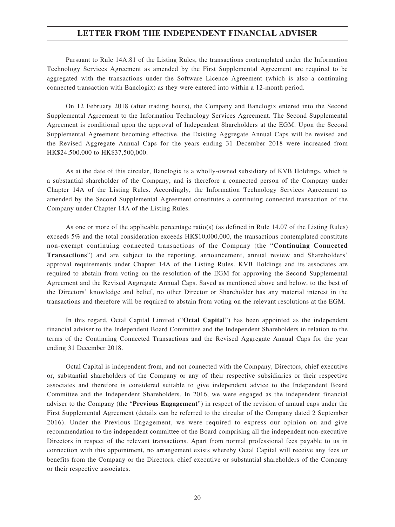Pursuant to Rule 14A.81 of the Listing Rules, the transactions contemplated under the Information Technology Services Agreement as amended by the First Supplemental Agreement are required to be aggregated with the transactions under the Software Licence Agreement (which is also a continuing connected transaction with Banclogix) as they were entered into within a 12-month period.

On 12 February 2018 (after trading hours), the Company and Banclogix entered into the Second Supplemental Agreement to the Information Technology Services Agreement. The Second Supplemental Agreement is conditional upon the approval of Independent Shareholders at the EGM. Upon the Second Supplemental Agreement becoming effective, the Existing Aggregate Annual Caps will be revised and the Revised Aggregate Annual Caps for the years ending 31 December 2018 were increased from HK\$24,500,000 to HK\$37,500,000.

As at the date of this circular, Banclogix is a wholly-owned subsidiary of KVB Holdings, which is a substantial shareholder of the Company, and is therefore a connected person of the Company under Chapter 14A of the Listing Rules. Accordingly, the Information Technology Services Agreement as amended by the Second Supplemental Agreement constitutes a continuing connected transaction of the Company under Chapter 14A of the Listing Rules.

As one or more of the applicable percentage ratio(s) (as defined in Rule 14.07 of the Listing Rules) exceeds 5% and the total consideration exceeds HK\$10,000,000, the transactions contemplated constitute non-exempt continuing connected transactions of the Company (the "**Continuing Connected Transactions**") and are subject to the reporting, announcement, annual review and Shareholders' approval requirements under Chapter 14A of the Listing Rules. KVB Holdings and its associates are required to abstain from voting on the resolution of the EGM for approving the Second Supplemental Agreement and the Revised Aggregate Annual Caps. Saved as mentioned above and below, to the best of the Directors' knowledge and belief, no other Director or Shareholder has any material interest in the transactions and therefore will be required to abstain from voting on the relevant resolutions at the EGM.

In this regard, Octal Capital Limited ("**Octal Capital**") has been appointed as the independent financial adviser to the Independent Board Committee and the Independent Shareholders in relation to the terms of the Continuing Connected Transactions and the Revised Aggregate Annual Caps for the year ending 31 December 2018.

Octal Capital is independent from, and not connected with the Company, Directors, chief executive or, substantial shareholders of the Company or any of their respective subsidiaries or their respective associates and therefore is considered suitable to give independent advice to the Independent Board Committee and the Independent Shareholders. In 2016, we were engaged as the independent financial adviser to the Company (the "**Previous Engagement**") in respect of the revision of annual caps under the First Supplemental Agreement (details can be referred to the circular of the Company dated 2 September 2016). Under the Previous Engagement, we were required to express our opinion on and give recommendation to the independent committee of the Board comprising all the independent non-executive Directors in respect of the relevant transactions. Apart from normal professional fees payable to us in connection with this appointment, no arrangement exists whereby Octal Capital will receive any fees or benefits from the Company or the Directors, chief executive or substantial shareholders of the Company or their respective associates.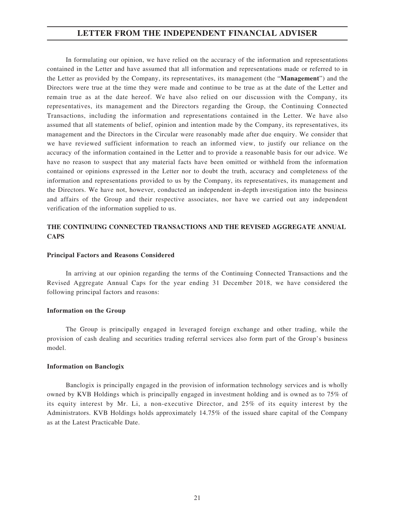In formulating our opinion, we have relied on the accuracy of the information and representations contained in the Letter and have assumed that all information and representations made or referred to in the Letter as provided by the Company, its representatives, its management (the "**Management**") and the Directors were true at the time they were made and continue to be true as at the date of the Letter and remain true as at the date hereof. We have also relied on our discussion with the Company, its representatives, its management and the Directors regarding the Group, the Continuing Connected Transactions, including the information and representations contained in the Letter. We have also assumed that all statements of belief, opinion and intention made by the Company, its representatives, its management and the Directors in the Circular were reasonably made after due enquiry. We consider that we have reviewed sufficient information to reach an informed view, to justify our reliance on the accuracy of the information contained in the Letter and to provide a reasonable basis for our advice. We have no reason to suspect that any material facts have been omitted or withheld from the information contained or opinions expressed in the Letter nor to doubt the truth, accuracy and completeness of the information and representations provided to us by the Company, its representatives, its management and the Directors. We have not, however, conducted an independent in-depth investigation into the business and affairs of the Group and their respective associates, nor have we carried out any independent verification of the information supplied to us.

#### **THE CONTINUING CONNECTED TRANSACTIONS AND THE REVISED AGGREGATE ANNUAL CAPS**

#### **Principal Factors and Reasons Considered**

In arriving at our opinion regarding the terms of the Continuing Connected Transactions and the Revised Aggregate Annual Caps for the year ending 31 December 2018, we have considered the following principal factors and reasons:

#### **Information on the Group**

The Group is principally engaged in leveraged foreign exchange and other trading, while the provision of cash dealing and securities trading referral services also form part of the Group's business model.

#### **Information on Banclogix**

Banclogix is principally engaged in the provision of information technology services and is wholly owned by KVB Holdings which is principally engaged in investment holding and is owned as to 75% of its equity interest by Mr. Li, a non-executive Director, and 25% of its equity interest by the Administrators. KVB Holdings holds approximately 14.75% of the issued share capital of the Company as at the Latest Practicable Date.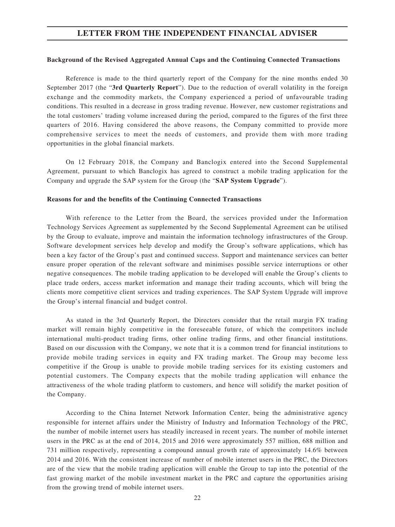#### **Background of the Revised Aggregated Annual Caps and the Continuing Connected Transactions**

Reference is made to the third quarterly report of the Company for the nine months ended 30 September 2017 (the "**3rd Quarterly Report**"). Due to the reduction of overall volatility in the foreign exchange and the commodity markets, the Company experienced a period of unfavourable trading conditions. This resulted in a decrease in gross trading revenue. However, new customer registrations and the total customers' trading volume increased during the period, compared to the figures of the first three quarters of 2016. Having considered the above reasons, the Company committed to provide more comprehensive services to meet the needs of customers, and provide them with more trading opportunities in the global financial markets.

On 12 February 2018, the Company and Banclogix entered into the Second Supplemental Agreement, pursuant to which Banclogix has agreed to construct a mobile trading application for the Company and upgrade the SAP system for the Group (the "**SAP System Upgrade**").

#### **Reasons for and the benefits of the Continuing Connected Transactions**

With reference to the Letter from the Board, the services provided under the Information Technology Services Agreement as supplemented by the Second Supplemental Agreement can be utilised by the Group to evaluate, improve and maintain the information technology infrastructures of the Group. Software development services help develop and modify the Group's software applications, which has been a key factor of the Group's past and continued success. Support and maintenance services can better ensure proper operation of the relevant software and minimises possible service interruptions or other negative consequences. The mobile trading application to be developed will enable the Group's clients to place trade orders, access market information and manage their trading accounts, which will bring the clients more competitive client services and trading experiences. The SAP System Upgrade will improve the Group's internal financial and budget control.

As stated in the 3rd Quarterly Report, the Directors consider that the retail margin FX trading market will remain highly competitive in the foreseeable future, of which the competitors include international multi-product trading firms, other online trading firms, and other financial institutions. Based on our discussion with the Company, we note that it is a common trend for financial institutions to provide mobile trading services in equity and FX trading market. The Group may become less competitive if the Group is unable to provide mobile trading services for its existing customers and potential customers. The Company expects that the mobile trading application will enhance the attractiveness of the whole trading platform to customers, and hence will solidify the market position of the Company.

According to the China Internet Network Information Center, being the administrative agency responsible for internet affairs under the Ministry of Industry and Information Technology of the PRC, the number of mobile internet users has steadily increased in recent years. The number of mobile internet users in the PRC as at the end of 2014, 2015 and 2016 were approximately 557 million, 688 million and 731 million respectively, representing a compound annual growth rate of approximately 14.6% between 2014 and 2016. With the consistent increase of number of mobile internet users in the PRC, the Directors are of the view that the mobile trading application will enable the Group to tap into the potential of the fast growing market of the mobile investment market in the PRC and capture the opportunities arising from the growing trend of mobile internet users.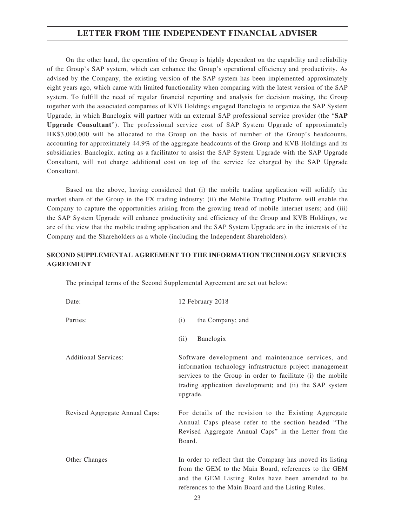On the other hand, the operation of the Group is highly dependent on the capability and reliability of the Group's SAP system, which can enhance the Group's operational efficiency and productivity. As advised by the Company, the existing version of the SAP system has been implemented approximately eight years ago, which came with limited functionality when comparing with the latest version of the SAP system. To fulfill the need of regular financial reporting and analysis for decision making, the Group together with the associated companies of KVB Holdings engaged Banclogix to organize the SAP System Upgrade, in which Banclogix will partner with an external SAP professional service provider (the "**SAP Upgrade Consultant**"). The professional service cost of SAP System Upgrade of approximately HK\$3,000,000 will be allocated to the Group on the basis of number of the Group's headcounts, accounting for approximately 44.9% of the aggregate headcounts of the Group and KVB Holdings and its subsidiaries. Banclogix, acting as a facilitator to assist the SAP System Upgrade with the SAP Upgrade Consultant, will not charge additional cost on top of the service fee charged by the SAP Upgrade Consultant.

Based on the above, having considered that (i) the mobile trading application will solidify the market share of the Group in the FX trading industry; (ii) the Mobile Trading Platform will enable the Company to capture the opportunities arising from the growing trend of mobile internet users; and (iii) the SAP System Upgrade will enhance productivity and efficiency of the Group and KVB Holdings, we are of the view that the mobile trading application and the SAP System Upgrade are in the interests of the Company and the Shareholders as a whole (including the Independent Shareholders).

#### **SECOND SUPPLEMENTAL AGREEMENT TO THE INFORMATION TECHNOLOGY SERVICES AGREEMENT**

Date: 12 February 2018 Parties: (i) the Company; and (ii) Banclogix Additional Services: Software development and maintenance services, and information technology infrastructure project management services to the Group in order to facilitate (i) the mobile trading application development; and (ii) the SAP system upgrade. Revised Aggregate Annual Caps: For details of the revision to the Existing Aggregate Annual Caps please refer to the section headed "The Revised Aggregate Annual Caps" in the Letter from the Board. Other Changes In order to reflect that the Company has moved its listing from the GEM to the Main Board, references to the GEM and the GEM Listing Rules have been amended to be references to the Main Board and the Listing Rules.

The principal terms of the Second Supplemental Agreement are set out below: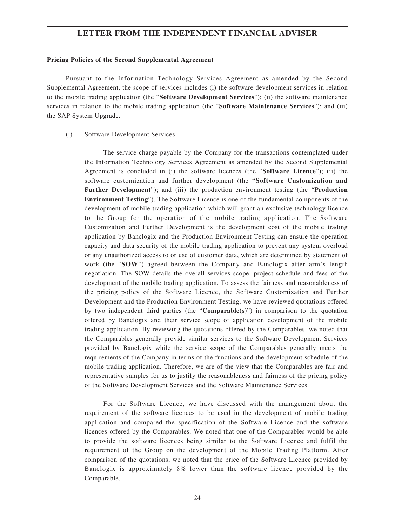#### **Pricing Policies of the Second Supplemental Agreement**

Pursuant to the Information Technology Services Agreement as amended by the Second Supplemental Agreement, the scope of services includes (i) the software development services in relation to the mobile trading application (the "**Software Development Services**"); (ii) the software maintenance services in relation to the mobile trading application (the "**Software Maintenance Services**"); and (iii) the SAP System Upgrade.

#### (i) Software Development Services

The service charge payable by the Company for the transactions contemplated under the Information Technology Services Agreement as amended by the Second Supplemental Agreement is concluded in (i) the software licences (the "**Software Licence**"); (ii) the software customization and further development (the **"Software Customization and Further Development**"); and (iii) the production environment testing (the "**Production Environment Testing**"). The Software Licence is one of the fundamental components of the development of mobile trading application which will grant an exclusive technology licence to the Group for the operation of the mobile trading application. The Software Customization and Further Development is the development cost of the mobile trading application by Banclogix and the Production Environment Testing can ensure the operation capacity and data security of the mobile trading application to prevent any system overload or any unauthorized access to or use of customer data, which are determined by statement of work (the "**SOW**") agreed between the Company and Banclogix after arm's length negotiation. The SOW details the overall services scope, project schedule and fees of the development of the mobile trading application. To assess the fairness and reasonableness of the pricing policy of the Software Licence, the Software Customization and Further Development and the Production Environment Testing, we have reviewed quotations offered by two independent third parties (the "**Comparable(s)**") in comparison to the quotation offered by Banclogix and their service scope of application development of the mobile trading application. By reviewing the quotations offered by the Comparables, we noted that the Comparables generally provide similar services to the Software Development Services provided by Banclogix while the service scope of the Comparables generally meets the requirements of the Company in terms of the functions and the development schedule of the mobile trading application. Therefore, we are of the view that the Comparables are fair and representative samples for us to justify the reasonableness and fairness of the pricing policy of the Software Development Services and the Software Maintenance Services.

For the Software Licence, we have discussed with the management about the requirement of the software licences to be used in the development of mobile trading application and compared the specification of the Software Licence and the software licences offered by the Comparables. We noted that one of the Comparables would be able to provide the software licences being similar to the Software Licence and fulfil the requirement of the Group on the development of the Mobile Trading Platform. After comparison of the quotations, we noted that the price of the Software Licence provided by Banclogix is approximately 8% lower than the software licence provided by the Comparable.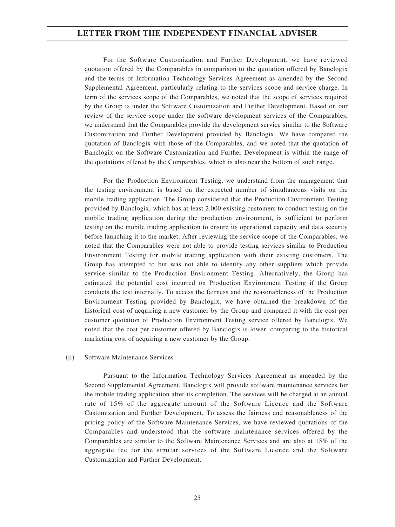For the Software Customization and Further Development, we have reviewed quotation offered by the Comparables in comparison to the quotation offered by Banclogix and the terms of Information Technology Services Agreement as amended by the Second Supplemental Agreement, particularly relating to the services scope and service charge. In term of the services scope of the Comparables, we noted that the scope of services required by the Group is under the Software Customization and Further Development. Based on our review of the service scope under the software development services of the Comparables, we understand that the Comparables provide the development service similar to the Software Customization and Further Development provided by Banclogix. We have compared the quotation of Banclogix with those of the Comparables, and we noted that the quotation of Banclogix on the Software Customization and Further Development is within the range of the quotations offered by the Comparables, which is also near the bottom of such range.

For the Production Environment Testing, we understand from the management that the testing environment is based on the expected number of simultaneous visits on the mobile trading application. The Group considered that the Production Environment Testing provided by Banclogix, which has at least 2,000 existing customers to conduct testing on the mobile trading application during the production environment, is sufficient to perform testing on the mobile trading application to ensure its operational capacity and data security before launching it to the market. After reviewing the service scope of the Comparables, we noted that the Comparables were not able to provide testing services similar to Production Environment Testing for mobile trading application with their existing customers. The Group has attempted to but was not able to identify any other suppliers which provide service similar to the Production Environment Testing. Alternatively, the Group has estimated the potential cost incurred on Production Environment Testing if the Group conducts the test internally. To access the fairness and the reasonableness of the Production Environment Testing provided by Banclogix, we have obtained the breakdown of the historical cost of acquiring a new customer by the Group and compared it with the cost per customer quotation of Production Environment Testing service offered by Banclogix. We noted that the cost per customer offered by Banclogix is lower, comparing to the historical marketing cost of acquiring a new customer by the Group.

#### (ii) Software Maintenance Services

Pursuant to the Information Technology Services Agreement as amended by the Second Supplemental Agreement, Banclogix will provide software maintenance services for the mobile trading application after its completion. The services will be charged at an annual rate of 15% of the aggregate amount of the Software Licence and the Software Customization and Further Development. To assess the fairness and reasonableness of the pricing policy of the Software Maintenance Services, we have reviewed quotations of the Comparables and understood that the software maintenance services offered by the Comparables are similar to the Software Maintenance Services and are also at 15% of the aggregate fee for the similar services of the Software Licence and the Software Customization and Further Development.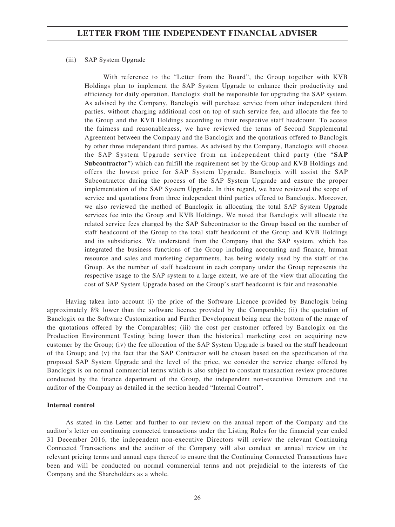#### (iii) SAP System Upgrade

With reference to the "Letter from the Board", the Group together with KVB Holdings plan to implement the SAP System Upgrade to enhance their productivity and efficiency for daily operation. Banclogix shall be responsible for upgrading the SAP system. As advised by the Company, Banclogix will purchase service from other independent third parties, without charging additional cost on top of such service fee, and allocate the fee to the Group and the KVB Holdings according to their respective staff headcount. To access the fairness and reasonableness, we have reviewed the terms of Second Supplemental Agreement between the Company and the Banclogix and the quotations offered to Banclogix by other three independent third parties. As advised by the Company, Banclogix will choose the SAP System Upgrade service from an independent third party (the "**SAP Subcontractor**") which can fulfill the requirement set by the Group and KVB Holdings and offers the lowest price for SAP System Upgrade. Banclogix will assist the SAP Subcontractor during the process of the SAP System Upgrade and ensure the proper implementation of the SAP System Upgrade. In this regard, we have reviewed the scope of service and quotations from three independent third parties offered to Banclogix. Moreover, we also reviewed the method of Banclogix in allocating the total SAP System Upgrade services fee into the Group and KVB Holdings. We noted that Banclogix will allocate the related service fees charged by the SAP Subcontractor to the Group based on the number of staff headcount of the Group to the total staff headcount of the Group and KVB Holdings and its subsidiaries. We understand from the Company that the SAP system, which has integrated the business functions of the Group including accounting and finance, human resource and sales and marketing departments, has being widely used by the staff of the Group. As the number of staff headcount in each company under the Group represents the respective usage to the SAP system to a large extent, we are of the view that allocating the cost of SAP System Upgrade based on the Group's staff headcount is fair and reasonable.

Having taken into account (i) the price of the Software Licence provided by Banclogix being approximately 8% lower than the software licence provided by the Comparable; (ii) the quotation of Banclogix on the Software Customization and Further Development being near the bottom of the range of the quotations offered by the Comparables; (iii) the cost per customer offered by Banclogix on the Production Environment Testing being lower than the historical marketing cost on acquiring new customer by the Group; (iv) the fee allocation of the SAP System Upgrade is based on the staff headcount of the Group; and (v) the fact that the SAP Contractor will be chosen based on the specification of the proposed SAP System Upgrade and the level of the price, we consider the service charge offered by Banclogix is on normal commercial terms which is also subject to constant transaction review procedures conducted by the finance department of the Group, the independent non-executive Directors and the auditor of the Company as detailed in the section headed "Internal Control".

#### **Internal control**

As stated in the Letter and further to our review on the annual report of the Company and the auditor's letter on continuing connected transactions under the Listing Rules for the financial year ended 31 December 2016, the independent non-executive Directors will review the relevant Continuing Connected Transactions and the auditor of the Company will also conduct an annual review on the relevant pricing terms and annual caps thereof to ensure that the Continuing Connected Transactions have been and will be conducted on normal commercial terms and not prejudicial to the interests of the Company and the Shareholders as a whole.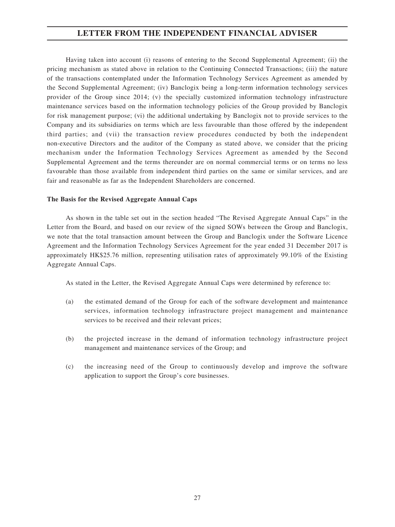Having taken into account (i) reasons of entering to the Second Supplemental Agreement; (ii) the pricing mechanism as stated above in relation to the Continuing Connected Transactions; (iii) the nature of the transactions contemplated under the Information Technology Services Agreement as amended by the Second Supplemental Agreement; (iv) Banclogix being a long-term information technology services provider of the Group since 2014; (v) the specially customized information technology infrastructure maintenance services based on the information technology policies of the Group provided by Banclogix for risk management purpose; (vi) the additional undertaking by Banclogix not to provide services to the Company and its subsidiaries on terms which are less favourable than those offered by the independent third parties; and (vii) the transaction review procedures conducted by both the independent non-executive Directors and the auditor of the Company as stated above, we consider that the pricing mechanism under the Information Technology Services Agreement as amended by the Second Supplemental Agreement and the terms thereunder are on normal commercial terms or on terms no less favourable than those available from independent third parties on the same or similar services, and are fair and reasonable as far as the Independent Shareholders are concerned.

#### **The Basis for the Revised Aggregate Annual Caps**

As shown in the table set out in the section headed "The Revised Aggregate Annual Caps" in the Letter from the Board, and based on our review of the signed SOWs between the Group and Banclogix, we note that the total transaction amount between the Group and Banclogix under the Software Licence Agreement and the Information Technology Services Agreement for the year ended 31 December 2017 is approximately HK\$25.76 million, representing utilisation rates of approximately 99.10% of the Existing Aggregate Annual Caps.

As stated in the Letter, the Revised Aggregate Annual Caps were determined by reference to:

- (a) the estimated demand of the Group for each of the software development and maintenance services, information technology infrastructure project management and maintenance services to be received and their relevant prices;
- (b) the projected increase in the demand of information technology infrastructure project management and maintenance services of the Group; and
- (c) the increasing need of the Group to continuously develop and improve the software application to support the Group's core businesses.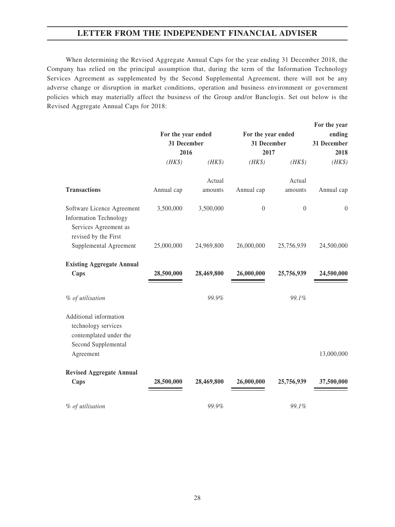When determining the Revised Aggregate Annual Caps for the year ending 31 December 2018, the Company has relied on the principal assumption that, during the term of the Information Technology Services Agreement as supplemented by the Second Supplemental Agreement, there will not be any adverse change or disruption in market conditions, operation and business environment or government policies which may materially affect the business of the Group and/or Banclogix. Set out below is the Revised Aggregate Annual Caps for 2018:

|                                                                                                              | For the year ended<br>31 December<br>2016 |            | For the year ended<br>31 December<br>2017 |                  | For the year<br>ending<br>31 December<br>2018 |  |
|--------------------------------------------------------------------------------------------------------------|-------------------------------------------|------------|-------------------------------------------|------------------|-----------------------------------------------|--|
|                                                                                                              | $(HK\$                                    | $(HK\$     | $(HK\$                                    | $(HK\$           | $(HK\$                                        |  |
|                                                                                                              |                                           | Actual     |                                           | Actual           |                                               |  |
| <b>Transactions</b>                                                                                          | Annual cap                                | amounts    | Annual cap                                | amounts          | Annual cap                                    |  |
| Software Licence Agreement<br><b>Information Technology</b><br>Services Agreement as<br>revised by the First | 3,500,000                                 | 3,500,000  | $\boldsymbol{0}$                          | $\boldsymbol{0}$ | $\boldsymbol{0}$                              |  |
| Supplemental Agreement                                                                                       | 25,000,000                                | 24,969,800 | 26,000,000                                | 25,756,939       | 24,500,000                                    |  |
| <b>Existing Aggregate Annual</b>                                                                             |                                           |            |                                           |                  |                                               |  |
| Caps                                                                                                         | 28,500,000                                | 28,469,800 | 26,000,000                                | 25,756,939       | 24,500,000                                    |  |
| % of utilisation                                                                                             |                                           | 99.9%      |                                           | 99.1%            |                                               |  |
| Additional information<br>technology services<br>contemplated under the<br>Second Supplemental               |                                           |            |                                           |                  |                                               |  |
| Agreement                                                                                                    |                                           |            |                                           |                  | 13,000,000                                    |  |
| <b>Revised Aggregate Annual</b>                                                                              |                                           |            |                                           |                  |                                               |  |
| Caps                                                                                                         | 28,500,000                                | 28,469,800 | 26,000,000                                | 25,756,939       | 37,500,000                                    |  |
| % of utilisation                                                                                             |                                           | 99.9%      |                                           | 99.1%            |                                               |  |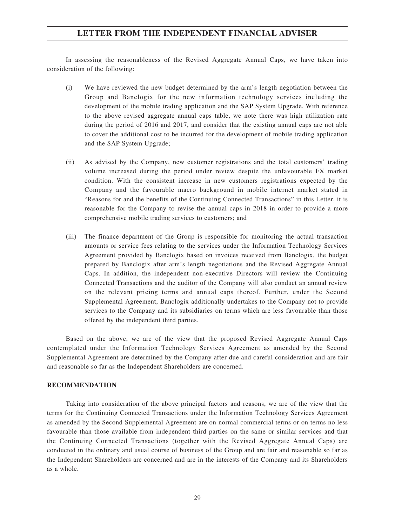In assessing the reasonableness of the Revised Aggregate Annual Caps, we have taken into consideration of the following:

- (i) We have reviewed the new budget determined by the arm's length negotiation between the Group and Banclogix for the new information technology services including the development of the mobile trading application and the SAP System Upgrade. With reference to the above revised aggregate annual caps table, we note there was high utilization rate during the period of 2016 and 2017, and consider that the existing annual caps are not able to cover the additional cost to be incurred for the development of mobile trading application and the SAP System Upgrade;
- (ii) As advised by the Company, new customer registrations and the total customers' trading volume increased during the period under review despite the unfavourable FX market condition. With the consistent increase in new customers registrations expected by the Company and the favourable macro background in mobile internet market stated in "Reasons for and the benefits of the Continuing Connected Transactions" in this Letter, it is reasonable for the Company to revise the annual caps in 2018 in order to provide a more comprehensive mobile trading services to customers; and
- (iii) The finance department of the Group is responsible for monitoring the actual transaction amounts or service fees relating to the services under the Information Technology Services Agreement provided by Banclogix based on invoices received from Banclogix, the budget prepared by Banclogix after arm's length negotiations and the Revised Aggregate Annual Caps. In addition, the independent non-executive Directors will review the Continuing Connected Transactions and the auditor of the Company will also conduct an annual review on the relevant pricing terms and annual caps thereof. Further, under the Second Supplemental Agreement, Banclogix additionally undertakes to the Company not to provide services to the Company and its subsidiaries on terms which are less favourable than those offered by the independent third parties.

Based on the above, we are of the view that the proposed Revised Aggregate Annual Caps contemplated under the Information Technology Services Agreement as amended by the Second Supplemental Agreement are determined by the Company after due and careful consideration and are fair and reasonable so far as the Independent Shareholders are concerned.

#### **RECOMMENDATION**

Taking into consideration of the above principal factors and reasons, we are of the view that the terms for the Continuing Connected Transactions under the Information Technology Services Agreement as amended by the Second Supplemental Agreement are on normal commercial terms or on terms no less favourable than those available from independent third parties on the same or similar services and that the Continuing Connected Transactions (together with the Revised Aggregate Annual Caps) are conducted in the ordinary and usual course of business of the Group and are fair and reasonable so far as the Independent Shareholders are concerned and are in the interests of the Company and its Shareholders as a whole.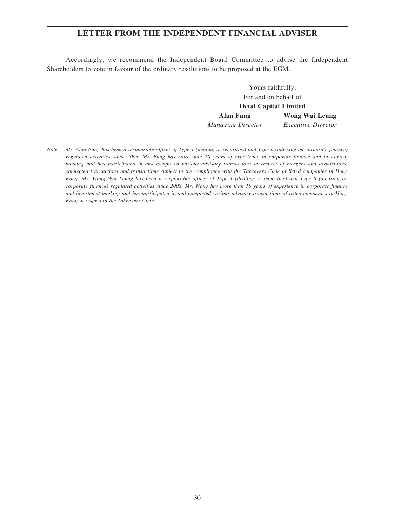Accordingly, we recommend the Independent Board Committee to advise the Independent Shareholders to vote in favour of the ordinary resolutions to be proposed at the EGM.

> Yours faithfully, For and on behalf of **Octal Capital Limited Alan Fung Wong Wai Leung** *Managing Director Executive Director*

*Note: Mr. Alan Fung has been a responsible officer of Type 1 (dealing in securities) and Type 6 (advising on corporate finance) regulated activities since 2003. Mr. Fung has more than 20 years of experience in corporate finance and investment banking and has participated in and completed various advisory transactions in respect of mergers and acquisitions, connected transactions and transactions subject to the compliance with the Takeovers Code of listed companies in Hong Kong. Mr. Wong Wai Leung has been a responsible officer of Type 1 (dealing in securities) and Type 6 (advising on corporate finance) regulated activities since 2008. Mr. Wong has more than 15 years of experience in corporate finance and investment banking and has participated in and completed various advisory transactions of listed companies in Hong Kong in respect of the Takeovers Code.*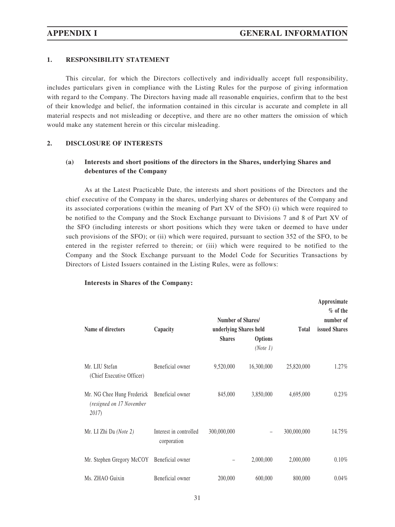#### **1. RESPONSIBILITY STATEMENT**

This circular, for which the Directors collectively and individually accept full responsibility, includes particulars given in compliance with the Listing Rules for the purpose of giving information with regard to the Company. The Directors having made all reasonable enquiries, confirm that to the best of their knowledge and belief, the information contained in this circular is accurate and complete in all material respects and not misleading or deceptive, and there are no other matters the omission of which would make any statement herein or this circular misleading.

#### **2. DISCLOSURE OF INTERESTS**

#### **(a) Interests and short positions of the directors in the Shares, underlying Shares and debentures of the Company**

As at the Latest Practicable Date, the interests and short positions of the Directors and the chief executive of the Company in the shares, underlying shares or debentures of the Company and its associated corporations (within the meaning of Part XV of the SFO) (i) which were required to be notified to the Company and the Stock Exchange pursuant to Divisions 7 and 8 of Part XV of the SFO (including interests or short positions which they were taken or deemed to have under such provisions of the SFO); or (ii) which were required, pursuant to section 352 of the SFO, to be entered in the register referred to therein; or (iii) which were required to be notified to the Company and the Stock Exchange pursuant to the Model Code for Securities Transactions by Directors of Listed Issuers contained in the Listing Rules, were as follows:

#### **Interests in Shares of the Company:**

| Name of directors                                               | Capacity                              | <b>Number of Shares/</b><br>underlying Shares held |                     | Approximate<br>$%$ of the<br>number of<br>issued Shares |        |
|-----------------------------------------------------------------|---------------------------------------|----------------------------------------------------|---------------------|---------------------------------------------------------|--------|
|                                                                 |                                       | <b>Shares</b>                                      | Options<br>(Note 1) |                                                         |        |
| Mr. LIU Stefan<br>(Chief Executive Officer)                     | Beneficial owner                      | 9,520,000                                          | 16,300,000          | 25,820,000                                              | 1.27%  |
| Mr. NG Chee Hung Frederick<br>(resigned on 17 November<br>2017) | Beneficial owner                      | 845,000                                            | 3,850,000           | 4,695,000                                               | 0.23%  |
| Mr. LI Zhi Da (Note 2)                                          | Interest in controlled<br>corporation | 300,000,000                                        |                     | 300,000,000                                             | 14.75% |
| Mr. Stephen Gregory McCOY                                       | Beneficial owner                      |                                                    | 2,000,000           | 2,000,000                                               | 0.10%  |
| Ms. ZHAO Guixin                                                 | Beneficial owner                      | 200,000                                            | 600,000             | 800,000                                                 | 0.04%  |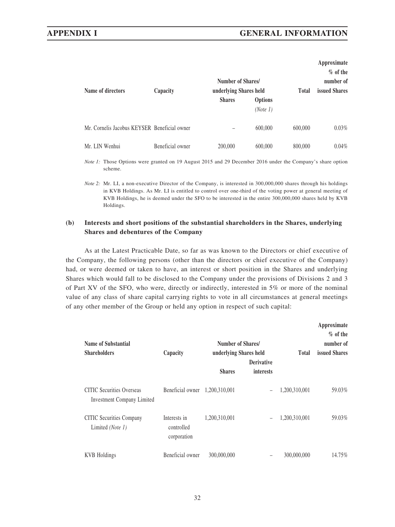#### **APPENDIX I GENERAL INFORMATION**

| Name of directors                            | Capacity         |               | Number of Shares/<br>underlying Shares held | <b>Total</b> | Approximate<br>$%$ of the<br>number of<br><b>issued Shares</b> |
|----------------------------------------------|------------------|---------------|---------------------------------------------|--------------|----------------------------------------------------------------|
|                                              |                  | <b>Shares</b> | Options<br>(Note 1)                         |              |                                                                |
| Mr. Cornelis Jacobus KEYSER Beneficial owner |                  |               | 600,000                                     | 600,000      | $0.03\%$                                                       |
| Mr. LIN Wenhui                               | Beneficial owner | 200,000       | 600,000                                     | 800,000      | $0.04\%$                                                       |

*Note 1*: Those Options were granted on 19 August 2015 and 29 December 2016 under the Company's share option scheme.

#### **(b) Interests and short positions of the substantial shareholders in the Shares, underlying Shares and debentures of the Company**

As at the Latest Practicable Date, so far as was known to the Directors or chief executive of the Company, the following persons (other than the directors or chief executive of the Company) had, or were deemed or taken to have, an interest or short position in the Shares and underlying Shares which would fall to be disclosed to the Company under the provisions of Divisions 2 and 3 of Part XV of the SFO, who were, directly or indirectly, interested in 5% or more of the nominal value of any class of share capital carrying rights to vote in all circumstances at general meetings of any other member of the Group or held any option in respect of such capital:

| Name of Substantial<br><b>Shareholders</b>                            | Capacity                                  | Number of Shares/<br>underlying Shares held | <b>Derivative</b>        | Total         | Approximate<br>$%$ of the<br>number of<br>issued Shares |
|-----------------------------------------------------------------------|-------------------------------------------|---------------------------------------------|--------------------------|---------------|---------------------------------------------------------|
|                                                                       |                                           | <b>Shares</b>                               | <i>interests</i>         |               |                                                         |
| <b>CITIC</b> Securities Overseas<br><b>Investment Company Limited</b> | Beneficial owner                          | 1,200,310,001                               | $\overline{\phantom{0}}$ | 1,200,310,001 | 59.03%                                                  |
| <b>CITIC</b> Securities Company<br>Limited (Note 1)                   | Interests in<br>controlled<br>corporation | 1,200,310,001                               | $\overline{\phantom{0}}$ | 1,200,310,001 | 59.03%                                                  |
| <b>KVB</b> Holdings                                                   | Beneficial owner                          | 300,000,000                                 | -                        | 300,000,000   | 14.75%                                                  |

*Note 2:* Mr. LI, a non-executive Director of the Company, is interested in 300,000,000 shares through his holdings in KVB Holdings. As Mr. LI is entitled to control over one-third of the voting power at general meeting of KVB Holdings, he is deemed under the SFO to be interested in the entire 300,000,000 shares held by KVB Holdings.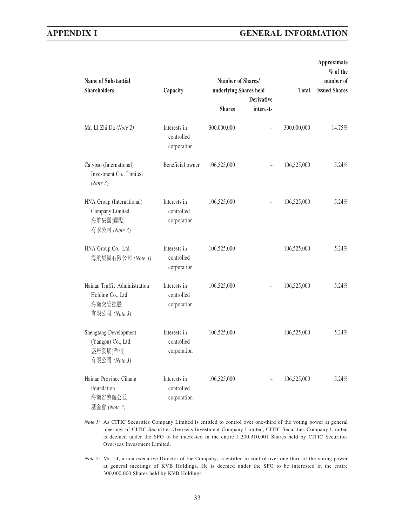#### **APPENDIX I GENERAL INFORMATION**

| <b>Name of Substantial</b>                                                    |                                           |                        | Approximate<br>$%$ of the<br>number of |              |               |
|-------------------------------------------------------------------------------|-------------------------------------------|------------------------|----------------------------------------|--------------|---------------|
| <b>Shareholders</b>                                                           | Capacity                                  | underlying Shares held | <b>Derivative</b>                      | <b>Total</b> | issued Shares |
|                                                                               |                                           | <b>Shares</b>          | <i>interests</i>                       |              |               |
| Mr. LI Zhi Da (Note 2)                                                        | Interests in<br>controlled<br>corporation | 300,000,000            |                                        | 300,000,000  | 14.75%        |
| Calypso (International)<br>Investment Co., Limited<br>(Note 3)                | Beneficial owner                          | 106,525,000            |                                        | 106,525,000  | 5.24%         |
| HNA Group (International)<br>Company Limited<br>海航集團(國際)<br>有限公司 (Note 3)     | Interests in<br>controlled<br>corporation | 106,525,000            |                                        | 106,525,000  | 5.24%         |
| HNA Group Co., Ltd.<br>海航集團有限公司 (Note 3)                                      | Interests in<br>controlled<br>corporation | 106,525,000            |                                        | 106,525,000  | 5.24%         |
| Hainan Traffic Administration<br>Holding Co., Ltd.<br>海南交管控股<br>有限公司 (Note 3) | Interests in<br>controlled<br>corporation | 106,525,000            |                                        | 106,525,000  | 5.24%         |
| Shengtang Development<br>(Yangpu) Co., Ltd.<br>盛唐發展(洋浦)<br>有限公司 (Note 3)      | Interests in<br>controlled<br>corporation | 106,525,000            |                                        | 106,525,000  | 5.24%         |
| Hainan Province Cihang<br>Foundation<br>海南省慈航公益<br>基金會 (Note 3)               | Interests in<br>controlled<br>corporation | 106,525,000            |                                        | 106,525,000  | 5.24%         |

- *Note 1:* As CITIC Securities Company Limited is entitled to control over one-third of the voting power at general meetings of CITIC Securities Overseas Investment Company Limited, CITIC Securities Company Limited is deemed under the SFO to be interested in the entire 1,200,310,001 Shares held by CITIC Securities Overseas Investment Limited.
- *Note 2:* Mr. LI, a non-executive Director of the Company, is entitled to control over one-third of the voting power at general meetings of KVB Holdings. He is deemed under the SFO to be interested in the entire 300,000,000 Shares held by KVB Holdings.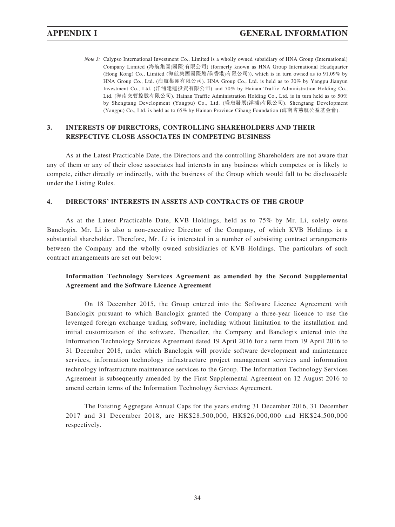*Note 3:* Calypso International Investment Co., Limited is a wholly owned subsidiary of HNA Group (International) Company Limited (海航集團(國際)有限公司) (formerly known as HNA Group International Headquarter (Hong Kong) Co., Limited (海航集團國際總部(香港)有限公司)), which is in turn owned as to 91.09% by HNA Group Co., Ltd. (海航集團有限公司). HNA Group Co., Ltd. is held as to 30% by Yangpu Jianyun Investment Co., Ltd. (洋浦建運投資有限公司) and 70% by Hainan Traffic Administration Holding Co., Ltd. (海南交管控股有限公司). Hainan Traffic Administration Holding Co., Ltd. is in turn held as to 50% by Shengtang Development (Yangpu) Co., Ltd. (盛唐發展(洋浦)有限公司). Shengtang Development (Yangpu) Co., Ltd. is held as to 65% by Hainan Province Cihang Foundation (海南省慈航公益基金會).

#### **3. INTERESTS OF DIRECTORS, CONTROLLING SHAREHOLDERS AND THEIR RESPECTIVE CLOSE ASSOCIATES IN COMPETING BUSINESS**

As at the Latest Practicable Date, the Directors and the controlling Shareholders are not aware that any of them or any of their close associates had interests in any business which competes or is likely to compete, either directly or indirectly, with the business of the Group which would fall to be discloseable under the Listing Rules.

#### **4. DIRECTORS' INTERESTS IN ASSETS AND CONTRACTS OF THE GROUP**

As at the Latest Practicable Date, KVB Holdings, held as to 75% by Mr. Li, solely owns Banclogix. Mr. Li is also a non-executive Director of the Company, of which KVB Holdings is a substantial shareholder. Therefore, Mr. Li is interested in a number of subsisting contract arrangements between the Company and the wholly owned subsidiaries of KVB Holdings. The particulars of such contract arrangements are set out below:

#### **Information Technology Services Agreement as amended by the Second Supplemental Agreement and the Software Licence Agreement**

On 18 December 2015, the Group entered into the Software Licence Agreement with Banclogix pursuant to which Banclogix granted the Company a three-year licence to use the leveraged foreign exchange trading software, including without limitation to the installation and initial customization of the software. Thereafter, the Company and Banclogix entered into the Information Technology Services Agreement dated 19 April 2016 for a term from 19 April 2016 to 31 December 2018, under which Banclogix will provide software development and maintenance services, information technology infrastructure project management services and information technology infrastructure maintenance services to the Group. The Information Technology Services Agreement is subsequently amended by the First Supplemental Agreement on 12 August 2016 to amend certain terms of the Information Technology Services Agreement.

The Existing Aggregate Annual Caps for the years ending 31 December 2016, 31 December 2017 and 31 December 2018, are HK\$28,500,000, HK\$26,000,000 and HK\$24,500,000 respectively.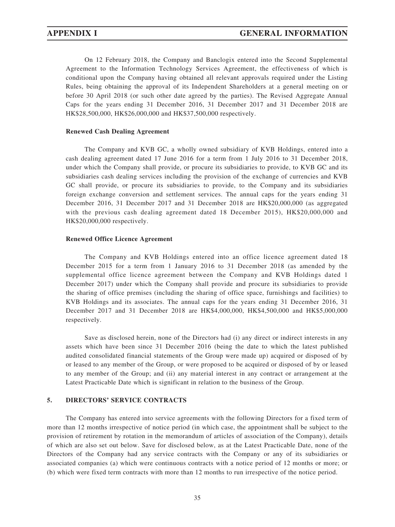On 12 February 2018, the Company and Banclogix entered into the Second Supplemental Agreement to the Information Technology Services Agreement, the effectiveness of which is conditional upon the Company having obtained all relevant approvals required under the Listing Rules, being obtaining the approval of its Independent Shareholders at a general meeting on or before 30 April 2018 (or such other date agreed by the parties). The Revised Aggregate Annual Caps for the years ending 31 December 2016, 31 December 2017 and 31 December 2018 are HK\$28,500,000, HK\$26,000,000 and HK\$37,500,000 respectively.

#### **Renewed Cash Dealing Agreement**

The Company and KVB GC, a wholly owned subsidiary of KVB Holdings, entered into a cash dealing agreement dated 17 June 2016 for a term from 1 July 2016 to 31 December 2018, under which the Company shall provide, or procure its subsidiaries to provide, to KVB GC and its subsidiaries cash dealing services including the provision of the exchange of currencies and KVB GC shall provide, or procure its subsidiaries to provide, to the Company and its subsidiaries foreign exchange conversion and settlement services. The annual caps for the years ending 31 December 2016, 31 December 2017 and 31 December 2018 are HK\$20,000,000 (as aggregated with the previous cash dealing agreement dated 18 December 2015), HK\$20,000,000 and HK\$20,000,000 respectively.

#### **Renewed Office Licence Agreement**

The Company and KVB Holdings entered into an office licence agreement dated 18 December 2015 for a term from 1 January 2016 to 31 December 2018 (as amended by the supplemental office licence agreement between the Company and KVB Holdings dated 1 December 2017) under which the Company shall provide and procure its subsidiaries to provide the sharing of office premises (including the sharing of office space, furnishings and facilities) to KVB Holdings and its associates. The annual caps for the years ending 31 December 2016, 31 December 2017 and 31 December 2018 are HK\$4,000,000, HK\$4,500,000 and HK\$5,000,000 respectively.

Save as disclosed herein, none of the Directors had (i) any direct or indirect interests in any assets which have been since 31 December 2016 (being the date to which the latest published audited consolidated financial statements of the Group were made up) acquired or disposed of by or leased to any member of the Group, or were proposed to be acquired or disposed of by or leased to any member of the Group; and (ii) any material interest in any contract or arrangement at the Latest Practicable Date which is significant in relation to the business of the Group.

#### **5. DIRECTORS' SERVICE CONTRACTS**

The Company has entered into service agreements with the following Directors for a fixed term of more than 12 months irrespective of notice period (in which case, the appointment shall be subject to the provision of retirement by rotation in the memorandum of articles of association of the Company), details of which are also set out below. Save for disclosed below, as at the Latest Practicable Date, none of the Directors of the Company had any service contracts with the Company or any of its subsidiaries or associated companies (a) which were continuous contracts with a notice period of 12 months or more; or (b) which were fixed term contracts with more than 12 months to run irrespective of the notice period.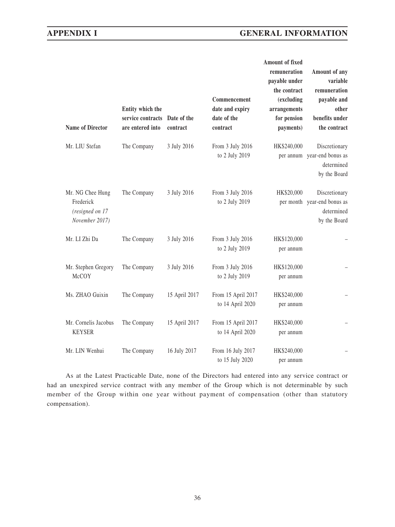## **APPENDIX I GENERAL INFORMATION**

| <b>Name of Director</b>                                            | Entity which the<br>service contracts Date of the<br>are entered into | contract      | Commencement<br>date and expiry<br>date of the<br>contract | Amount of fixed<br>remuneration<br>payable under<br>the contract<br>(excluding<br>arrangements<br>for pension<br>payments) | Amount of any<br>variable<br>remuneration<br>payable and<br>other<br>benefits under<br>the contract |
|--------------------------------------------------------------------|-----------------------------------------------------------------------|---------------|------------------------------------------------------------|----------------------------------------------------------------------------------------------------------------------------|-----------------------------------------------------------------------------------------------------|
| Mr. LIU Stefan                                                     | The Company                                                           | 3 July 2016   | From 3 July 2016<br>to 2 July 2019                         | HK\$240,000                                                                                                                | Discretionary<br>per annum year-end bonus as<br>determined<br>by the Board                          |
| Mr. NG Chee Hung<br>Frederick<br>(resigned on 17<br>November 2017) | The Company                                                           | 3 July 2016   | From 3 July 2016<br>to 2 July 2019                         | HK\$20,000                                                                                                                 | Discretionary<br>per month year-end bonus as<br>determined<br>by the Board                          |
| Mr. LI Zhi Da                                                      | The Company                                                           | 3 July 2016   | From 3 July 2016<br>to 2 July 2019                         | HK\$120,000<br>per annum                                                                                                   |                                                                                                     |
| Mr. Stephen Gregory<br>McCOY                                       | The Company                                                           | 3 July 2016   | From 3 July 2016<br>to 2 July 2019                         | HK\$120,000<br>per annum                                                                                                   |                                                                                                     |
| Ms. ZHAO Guixin                                                    | The Company                                                           | 15 April 2017 | From 15 April 2017<br>to 14 April 2020                     | HK\$240,000<br>per annum                                                                                                   |                                                                                                     |
| Mr. Cornelis Jacobus<br><b>KEYSER</b>                              | The Company                                                           | 15 April 2017 | From 15 April 2017<br>to 14 April 2020                     | HK\$240,000<br>per annum                                                                                                   |                                                                                                     |
| Mr. LIN Wenhui                                                     | The Company                                                           | 16 July 2017  | From 16 July 2017<br>to 15 July 2020                       | HK\$240,000<br>per annum                                                                                                   |                                                                                                     |

As at the Latest Practicable Date, none of the Directors had entered into any service contract or had an unexpired service contract with any member of the Group which is not determinable by such member of the Group within one year without payment of compensation (other than statutory compensation).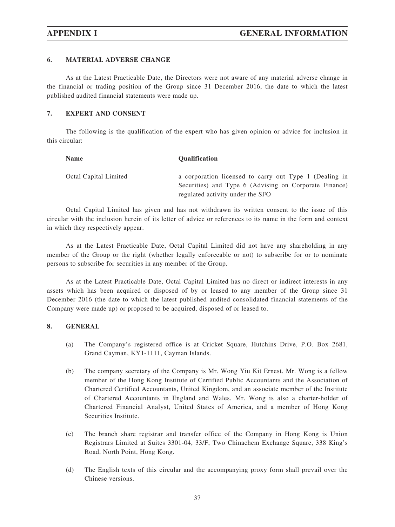#### **6. MATERIAL ADVERSE CHANGE**

As at the Latest Practicable Date, the Directors were not aware of any material adverse change in the financial or trading position of the Group since 31 December 2016, the date to which the latest published audited financial statements were made up.

#### **7. EXPERT AND CONSENT**

The following is the qualification of the expert who has given opinion or advice for inclusion in this circular:

| <b>Name</b>           | <b>Oualification</b>                                                                                             |
|-----------------------|------------------------------------------------------------------------------------------------------------------|
| Octal Capital Limited | a corporation licensed to carry out Type 1 (Dealing in<br>Securities) and Type 6 (Advising on Corporate Finance) |
|                       | regulated activity under the SFO                                                                                 |

Octal Capital Limited has given and has not withdrawn its written consent to the issue of this circular with the inclusion herein of its letter of advice or references to its name in the form and context in which they respectively appear.

As at the Latest Practicable Date, Octal Capital Limited did not have any shareholding in any member of the Group or the right (whether legally enforceable or not) to subscribe for or to nominate persons to subscribe for securities in any member of the Group.

As at the Latest Practicable Date, Octal Capital Limited has no direct or indirect interests in any assets which has been acquired or disposed of by or leased to any member of the Group since 31 December 2016 (the date to which the latest published audited consolidated financial statements of the Company were made up) or proposed to be acquired, disposed of or leased to.

#### **8. GENERAL**

- (a) The Company's registered office is at Cricket Square, Hutchins Drive, P.O. Box 2681, Grand Cayman, KY1-1111, Cayman Islands.
- (b) The company secretary of the Company is Mr. Wong Yiu Kit Ernest. Mr. Wong is a fellow member of the Hong Kong Institute of Certified Public Accountants and the Association of Chartered Certified Accountants, United Kingdom, and an associate member of the Institute of Chartered Accountants in England and Wales. Mr. Wong is also a charter-holder of Chartered Financial Analyst, United States of America, and a member of Hong Kong Securities Institute.
- (c) The branch share registrar and transfer office of the Company in Hong Kong is Union Registrars Limited at Suites 3301-04, 33/F, Two Chinachem Exchange Square, 338 King's Road, North Point, Hong Kong.
- (d) The English texts of this circular and the accompanying proxy form shall prevail over the Chinese versions.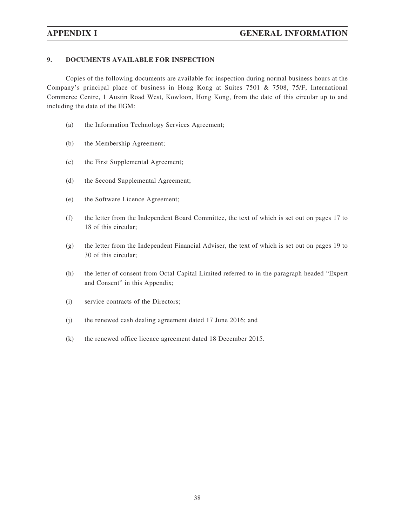#### **9. DOCUMENTS AVAILABLE FOR INSPECTION**

Copies of the following documents are available for inspection during normal business hours at the Company's principal place of business in Hong Kong at Suites 7501 & 7508, 75/F, International Commerce Centre, 1 Austin Road West, Kowloon, Hong Kong, from the date of this circular up to and including the date of the EGM:

- (a) the Information Technology Services Agreement;
- (b) the Membership Agreement;
- (c) the First Supplemental Agreement;
- (d) the Second Supplemental Agreement;
- (e) the Software Licence Agreement;
- (f) the letter from the Independent Board Committee, the text of which is set out on pages 17 to 18 of this circular;
- (g) the letter from the Independent Financial Adviser, the text of which is set out on pages 19 to 30 of this circular;
- (h) the letter of consent from Octal Capital Limited referred to in the paragraph headed "Expert and Consent" in this Appendix;
- (i) service contracts of the Directors;
- (j) the renewed cash dealing agreement dated 17 June 2016; and
- (k) the renewed office licence agreement dated 18 December 2015.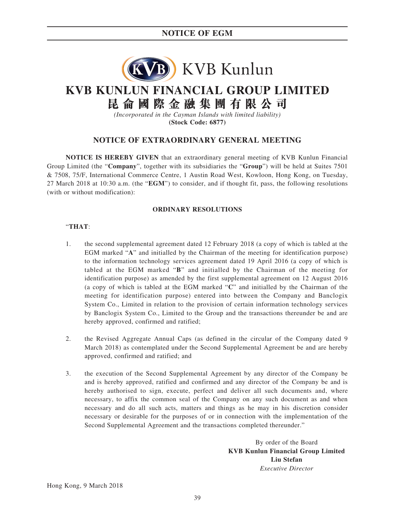## **NOTICE OF EGM**



## **KVB KUNLUN FINANCIAL GROUP LIMITED 昆侖國際金融集團有限公司**

*(Incorporated in the Cayman Islands with limited liability)* **(Stock Code: 6877)**

#### **NOTICE OF EXTRAORDINARY GENERAL MEETING**

**NOTICE IS HEREBY GIVEN** that an extraordinary general meeting of KVB Kunlun Financial Group Limited (the "**Company**", together with its subsidiaries the "**Group**") will be held at Suites 7501 & 7508, 75/F, International Commerce Centre, 1 Austin Road West, Kowloon, Hong Kong, on Tuesday, 27 March 2018 at 10:30 a.m. (the "**EGM**") to consider, and if thought fit, pass, the following resolutions (with or without modification):

#### **ORDINARY RESOLUTIONS**

#### "**THAT**:

- 1. the second supplemental agreement dated 12 February 2018 (a copy of which is tabled at the EGM marked "**A**" and initialled by the Chairman of the meeting for identification purpose) to the information technology services agreement dated 19 April 2016 (a copy of which is tabled at the EGM marked "**B**" and initialled by the Chairman of the meeting for identification purpose) as amended by the first supplemental agreement on 12 August 2016 (a copy of which is tabled at the EGM marked "**C**" and initialled by the Chairman of the meeting for identification purpose) entered into between the Company and Banclogix System Co., Limited in relation to the provision of certain information technology services by Banclogix System Co., Limited to the Group and the transactions thereunder be and are hereby approved, confirmed and ratified;
- 2. the Revised Aggregate Annual Caps (as defined in the circular of the Company dated 9 March 2018) as contemplated under the Second Supplemental Agreement be and are hereby approved, confirmed and ratified; and
- 3. the execution of the Second Supplemental Agreement by any director of the Company be and is hereby approved, ratified and confirmed and any director of the Company be and is hereby authorised to sign, execute, perfect and deliver all such documents and, where necessary, to affix the common seal of the Company on any such document as and when necessary and do all such acts, matters and things as he may in his discretion consider necessary or desirable for the purposes of or in connection with the implementation of the Second Supplemental Agreement and the transactions completed thereunder."

By order of the Board **KVB Kunlun Financial Group Limited Liu Stefan** *Executive Director*

Hong Kong, 9 March 2018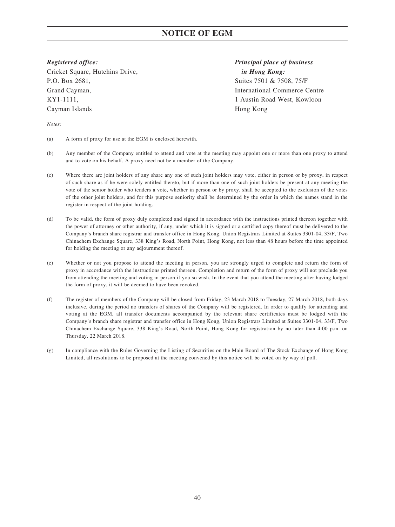## **NOTICE OF EGM**

Cricket Square, Hutchins Drive, *in Hong Kong:* P.O. Box 2681, Suites 7501 & 7508, 75/F Grand Cayman, International Commerce Centre KY1-1111, 1 Austin Road West, Kowloon Cayman Islands Hong Kong

# *Registered office: Principal place of business*

*Notes:*

- (a) A form of proxy for use at the EGM is enclosed herewith.
- (b) Any member of the Company entitled to attend and vote at the meeting may appoint one or more than one proxy to attend and to vote on his behalf. A proxy need not be a member of the Company.
- (c) Where there are joint holders of any share any one of such joint holders may vote, either in person or by proxy, in respect of such share as if he were solely entitled thereto, but if more than one of such joint holders be present at any meeting the vote of the senior holder who tenders a vote, whether in person or by proxy, shall be accepted to the exclusion of the votes of the other joint holders, and for this purpose seniority shall be determined by the order in which the names stand in the register in respect of the joint holding.
- (d) To be valid, the form of proxy duly completed and signed in accordance with the instructions printed thereon together with the power of attorney or other authority, if any, under which it is signed or a certified copy thereof must be delivered to the Company's branch share registrar and transfer office in Hong Kong, Union Registrars Limited at Suites 3301-04, 33/F, Two Chinachem Exchange Square, 338 King's Road, North Point, Hong Kong, not less than 48 hours before the time appointed for holding the meeting or any adjournment thereof.
- (e) Whether or not you propose to attend the meeting in person, you are strongly urged to complete and return the form of proxy in accordance with the instructions printed thereon. Completion and return of the form of proxy will not preclude you from attending the meeting and voting in person if you so wish. In the event that you attend the meeting after having lodged the form of proxy, it will be deemed to have been revoked.
- (f) The register of members of the Company will be closed from Friday, 23 March 2018 to Tuesday, 27 March 2018, both days inclusive, during the period no transfers of shares of the Company will be registered. In order to qualify for attending and voting at the EGM, all transfer documents accompanied by the relevant share certificates must be lodged with the Company's branch share registrar and transfer office in Hong Kong, Union Registrars Limited at Suites 3301-04, 33/F, Two Chinachem Exchange Square, 338 King's Road, North Point, Hong Kong for registration by no later than 4:00 p.m. on Thursday, 22 March 2018.
- (g) In compliance with the Rules Governing the Listing of Securities on the Main Board of The Stock Exchange of Hong Kong Limited, all resolutions to be proposed at the meeting convened by this notice will be voted on by way of poll.